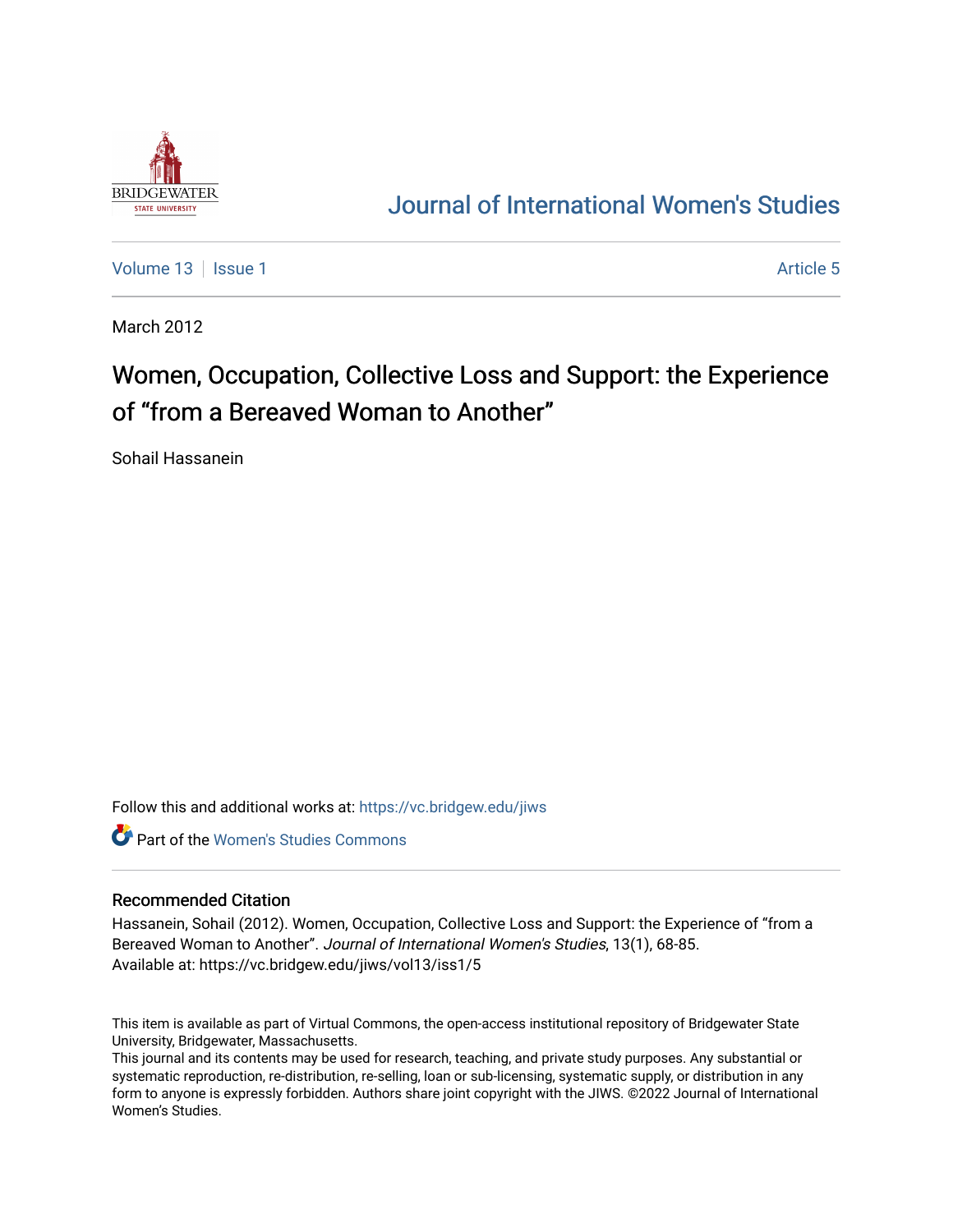

# [Journal of International Women's Studies](https://vc.bridgew.edu/jiws)

[Volume 13](https://vc.bridgew.edu/jiws/vol13) Setup 1 Article 5

March 2012

# Women, Occupation, Collective Loss and Support: the Experience of "from a Bereaved Woman to Another"

Sohail Hassanein

Follow this and additional works at: [https://vc.bridgew.edu/jiws](https://vc.bridgew.edu/jiws?utm_source=vc.bridgew.edu%2Fjiws%2Fvol13%2Fiss1%2F5&utm_medium=PDF&utm_campaign=PDFCoverPages)

**C** Part of the Women's Studies Commons

#### Recommended Citation

Hassanein, Sohail (2012). Women, Occupation, Collective Loss and Support: the Experience of "from a Bereaved Woman to Another". Journal of International Women's Studies, 13(1), 68-85. Available at: https://vc.bridgew.edu/jiws/vol13/iss1/5

This item is available as part of Virtual Commons, the open-access institutional repository of Bridgewater State University, Bridgewater, Massachusetts.

This journal and its contents may be used for research, teaching, and private study purposes. Any substantial or systematic reproduction, re-distribution, re-selling, loan or sub-licensing, systematic supply, or distribution in any form to anyone is expressly forbidden. Authors share joint copyright with the JIWS. ©2022 Journal of International Women's Studies.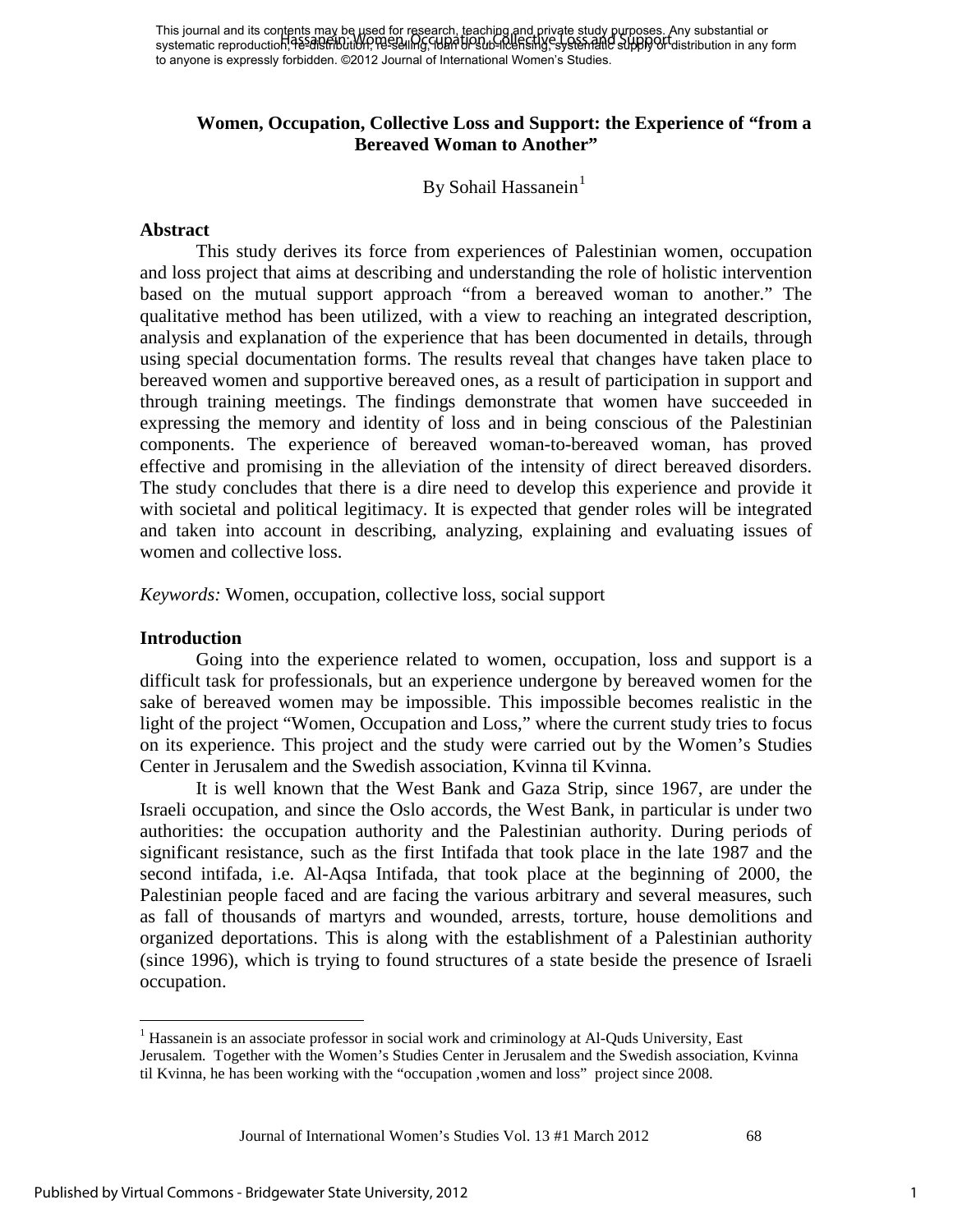This journal and its contents may be used for research, teaching and private study purposes. Any substantial or This journal and its concents had to research these and it requires in the start of the start of substantial or<br>systematic reproduction, Resalem Utilon, Research G. Handbrown-Reefshing, systematic supply of distribution in to anyone is expressly forbidden. ©2012 Journal of International Women's Studies.

## **Women, Occupation, Collective Loss and Support: the Experience of "from a Bereaved Woman to Another"**

By Sohail Hassanein<sup>[1](#page-1-0)</sup>

#### **Abstract**

This study derives its force from experiences of Palestinian women, occupation and loss project that aims at describing and understanding the role of holistic intervention based on the mutual support approach "from a bereaved woman to another." The qualitative method has been utilized, with a view to reaching an integrated description, analysis and explanation of the experience that has been documented in details, through using special documentation forms. The results reveal that changes have taken place to bereaved women and supportive bereaved ones, as a result of participation in support and through training meetings. The findings demonstrate that women have succeeded in expressing the memory and identity of loss and in being conscious of the Palestinian components. The experience of bereaved woman-to-bereaved woman, has proved effective and promising in the alleviation of the intensity of direct bereaved disorders. The study concludes that there is a dire need to develop this experience and provide it with societal and political legitimacy. It is expected that gender roles will be integrated and taken into account in describing, analyzing, explaining and evaluating issues of women and collective loss.

*Keywords:* Women, occupation, collective loss, social support

#### **Introduction**

 $\overline{\phantom{a}}$ 

Going into the experience related to women, occupation, loss and support is a difficult task for professionals, but an experience undergone by bereaved women for the sake of bereaved women may be impossible. This impossible becomes realistic in the light of the project "Women, Occupation and Loss," where the current study tries to focus on its experience. This project and the study were carried out by the Women's Studies Center in Jerusalem and the Swedish association, Kvinna til Kvinna.

It is well known that the West Bank and Gaza Strip, since 1967, are under the Israeli occupation, and since the Oslo accords, the West Bank, in particular is under two authorities: the occupation authority and the Palestinian authority. During periods of significant resistance, such as the first Intifada that took place in the late 1987 and the second intifada, i.e. Al-Aqsa Intifada, that took place at the beginning of 2000, the Palestinian people faced and are facing the various arbitrary and several measures, such as fall of thousands of martyrs and wounded, arrests, torture, house demolitions and organized deportations. This is along with the establishment of a Palestinian authority (since 1996), which is trying to found structures of a state beside the presence of Israeli occupation.

<span id="page-1-0"></span><sup>&</sup>lt;sup>1</sup> Hassanein is an associate professor in social work and criminology at Al-Quds University, East Jerusalem. Together with the Women's Studies Center in Jerusalem and the Swedish association, Kvinna til Kvinna, he has been working with the "occupation ,women and loss" project since 2008.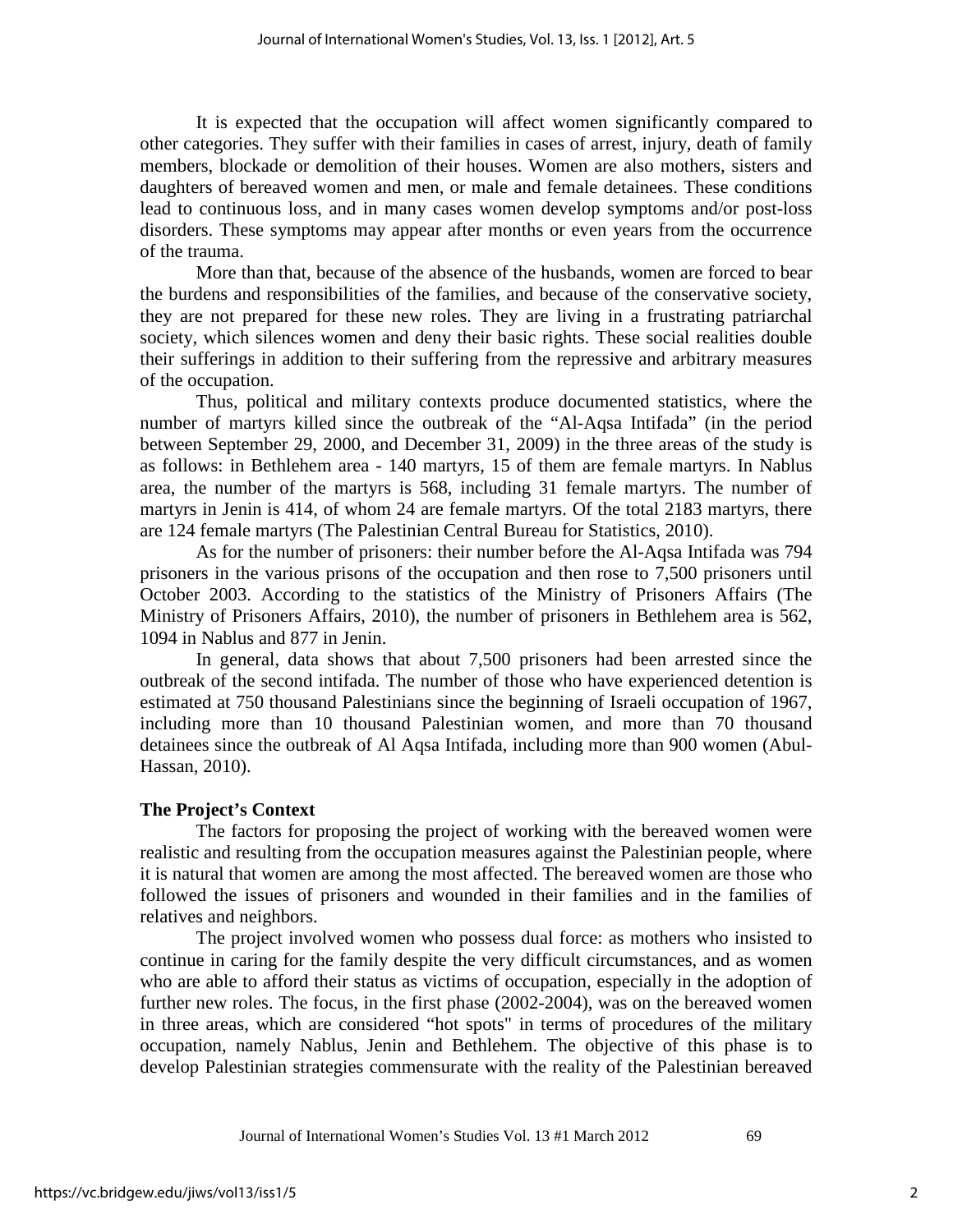It is expected that the occupation will affect women significantly compared to other categories. They suffer with their families in cases of arrest, injury, death of family members, blockade or demolition of their houses. Women are also mothers, sisters and daughters of bereaved women and men, or male and female detainees. These conditions lead to continuous loss, and in many cases women develop symptoms and/or post-loss disorders. These symptoms may appear after months or even years from the occurrence of the trauma.

More than that, because of the absence of the husbands, women are forced to bear the burdens and responsibilities of the families, and because of the conservative society, they are not prepared for these new roles. They are living in a frustrating patriarchal society, which silences women and deny their basic rights. These social realities double their sufferings in addition to their suffering from the repressive and arbitrary measures of the occupation.

Thus, political and military contexts produce documented statistics, where the number of martyrs killed since the outbreak of the "Al-Aqsa Intifada" (in the period between September 29, 2000, and December 31, 2009) in the three areas of the study is as follows: in Bethlehem area - 140 martyrs, 15 of them are female martyrs. In Nablus area, the number of the martyrs is 568, including 31 female martyrs. The number of martyrs in Jenin is 414, of whom 24 are female martyrs. Of the total 2183 martyrs, there are 124 female martyrs (The Palestinian Central Bureau for Statistics, 2010).

As for the number of prisoners: their number before the Al-Aqsa Intifada was 794 prisoners in the various prisons of the occupation and then rose to 7,500 prisoners until October 2003. According to the statistics of the Ministry of Prisoners Affairs (The Ministry of Prisoners Affairs, 2010), the number of prisoners in Bethlehem area is 562, 1094 in Nablus and 877 in Jenin.

In general, data shows that about 7,500 prisoners had been arrested since the outbreak of the second intifada. The number of those who have experienced detention is estimated at 750 thousand Palestinians since the beginning of Israeli occupation of 1967, including more than 10 thousand Palestinian women, and more than 70 thousand detainees since the outbreak of Al Aqsa Intifada, including more than 900 women (Abul-Hassan, 2010).

### **The Project's Context**

The factors for proposing the project of working with the bereaved women were realistic and resulting from the occupation measures against the Palestinian people, where it is natural that women are among the most affected. The bereaved women are those who followed the issues of prisoners and wounded in their families and in the families of relatives and neighbors.

The project involved women who possess dual force: as mothers who insisted to continue in caring for the family despite the very difficult circumstances, and as women who are able to afford their status as victims of occupation, especially in the adoption of further new roles. The focus, in the first phase (2002-2004), was on the bereaved women in three areas, which are considered "hot spots" in terms of procedures of the military occupation, namely Nablus, Jenin and Bethlehem. The objective of this phase is to develop Palestinian strategies commensurate with the reality of the Palestinian bereaved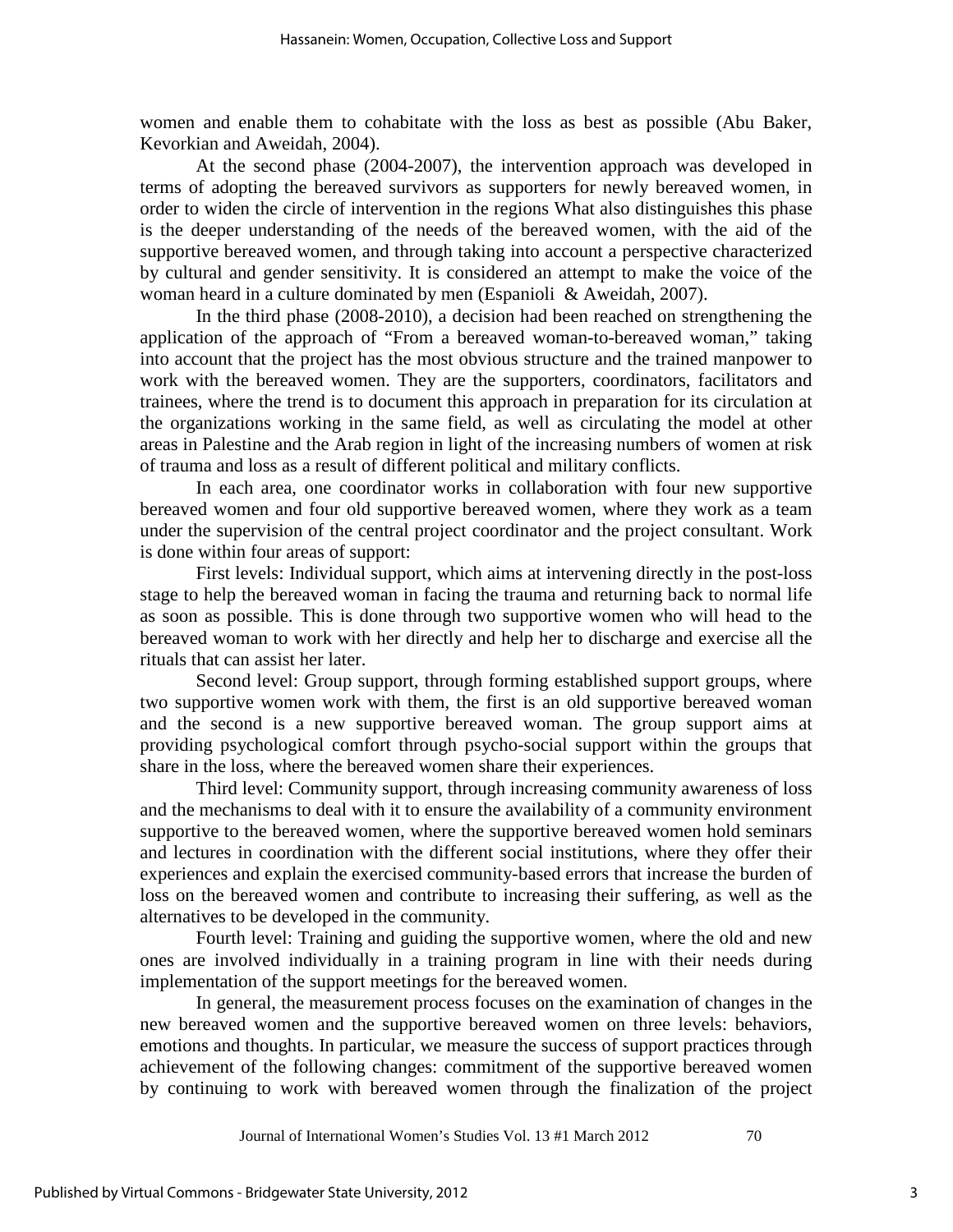women and enable them to cohabitate with the loss as best as possible (Abu Baker, Kevorkian and Aweidah, 2004).

At the second phase (2004-2007), the intervention approach was developed in terms of adopting the bereaved survivors as supporters for newly bereaved women, in order to widen the circle of intervention in the regions What also distinguishes this phase is the deeper understanding of the needs of the bereaved women, with the aid of the supportive bereaved women, and through taking into account a perspective characterized by cultural and gender sensitivity. It is considered an attempt to make the voice of the woman heard in a culture dominated by men (Espanioli & Aweidah, 2007).

In the third phase (2008-2010), a decision had been reached on strengthening the application of the approach of "From a bereaved woman-to-bereaved woman," taking into account that the project has the most obvious structure and the trained manpower to work with the bereaved women. They are the supporters, coordinators, facilitators and trainees, where the trend is to document this approach in preparation for its circulation at the organizations working in the same field, as well as circulating the model at other areas in Palestine and the Arab region in light of the increasing numbers of women at risk of trauma and loss as a result of different political and military conflicts.

In each area, one coordinator works in collaboration with four new supportive bereaved women and four old supportive bereaved women, where they work as a team under the supervision of the central project coordinator and the project consultant. Work is done within four areas of support:

First levels: Individual support, which aims at intervening directly in the post-loss stage to help the bereaved woman in facing the trauma and returning back to normal life as soon as possible. This is done through two supportive women who will head to the bereaved woman to work with her directly and help her to discharge and exercise all the rituals that can assist her later.

Second level: Group support, through forming established support groups, where two supportive women work with them, the first is an old supportive bereaved woman and the second is a new supportive bereaved woman. The group support aims at providing psychological comfort through psycho-social support within the groups that share in the loss, where the bereaved women share their experiences.

Third level: Community support, through increasing community awareness of loss and the mechanisms to deal with it to ensure the availability of a community environment supportive to the bereaved women, where the supportive bereaved women hold seminars and lectures in coordination with the different social institutions, where they offer their experiences and explain the exercised community-based errors that increase the burden of loss on the bereaved women and contribute to increasing their suffering, as well as the alternatives to be developed in the community.

Fourth level: Training and guiding the supportive women, where the old and new ones are involved individually in a training program in line with their needs during implementation of the support meetings for the bereaved women.

In general, the measurement process focuses on the examination of changes in the new bereaved women and the supportive bereaved women on three levels: behaviors, emotions and thoughts. In particular, we measure the success of support practices through achievement of the following changes: commitment of the supportive bereaved women by continuing to work with bereaved women through the finalization of the project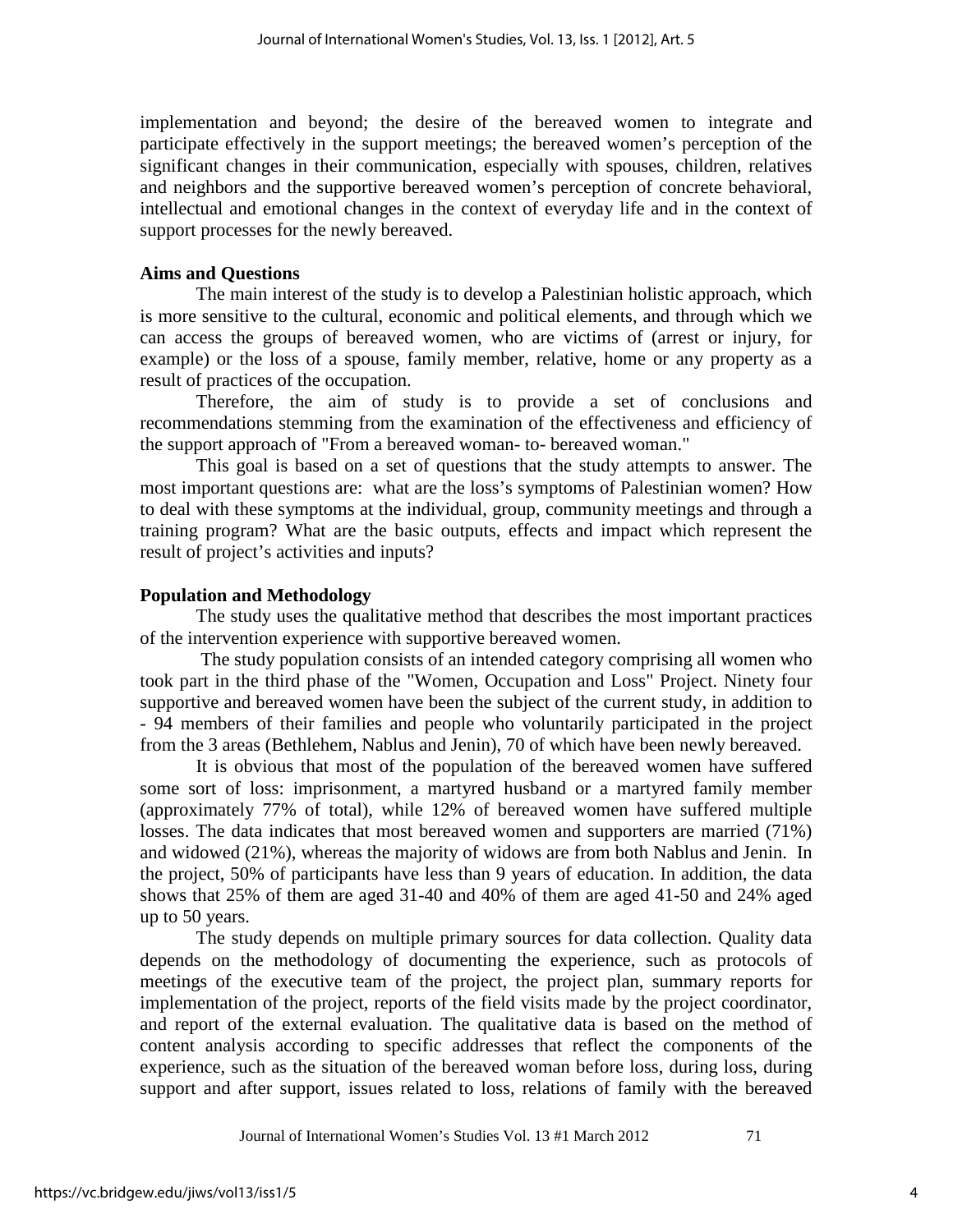implementation and beyond; the desire of the bereaved women to integrate and participate effectively in the support meetings; the bereaved women's perception of the significant changes in their communication, especially with spouses, children, relatives and neighbors and the supportive bereaved women's perception of concrete behavioral, intellectual and emotional changes in the context of everyday life and in the context of support processes for the newly bereaved.

# **Aims and Questions**

The main interest of the study is to develop a Palestinian holistic approach, which is more sensitive to the cultural, economic and political elements, and through which we can access the groups of bereaved women, who are victims of (arrest or injury, for example) or the loss of a spouse, family member, relative, home or any property as a result of practices of the occupation.

Therefore, the aim of study is to provide a set of conclusions and recommendations stemming from the examination of the effectiveness and efficiency of the support approach of "From a bereaved woman- to- bereaved woman."

This goal is based on a set of questions that the study attempts to answer. The most important questions are: what are the loss's symptoms of Palestinian women? How to deal with these symptoms at the individual, group, community meetings and through a training program? What are the basic outputs, effects and impact which represent the result of project's activities and inputs?

# **Population and Methodology**

The study uses the qualitative method that describes the most important practices of the intervention experience with supportive bereaved women.

 The study population consists of an intended category comprising all women who took part in the third phase of the "Women, Occupation and Loss" Project. Ninety four supportive and bereaved women have been the subject of the current study, in addition to - 94 members of their families and people who voluntarily participated in the project from the 3 areas (Bethlehem, Nablus and Jenin), 70 of which have been newly bereaved.

It is obvious that most of the population of the bereaved women have suffered some sort of loss: imprisonment, a martyred husband or a martyred family member (approximately 77% of total), while 12% of bereaved women have suffered multiple losses. The data indicates that most bereaved women and supporters are married (71%) and widowed (21%), whereas the majority of widows are from both Nablus and Jenin. In the project, 50% of participants have less than 9 years of education. In addition, the data shows that 25% of them are aged 31-40 and 40% of them are aged 41-50 and 24% aged up to 50 years.

The study depends on multiple primary sources for data collection. Quality data depends on the methodology of documenting the experience, such as protocols of meetings of the executive team of the project, the project plan, summary reports for implementation of the project, reports of the field visits made by the project coordinator, and report of the external evaluation. The qualitative data is based on the method of content analysis according to specific addresses that reflect the components of the experience, such as the situation of the bereaved woman before loss, during loss, during support and after support, issues related to loss, relations of family with the bereaved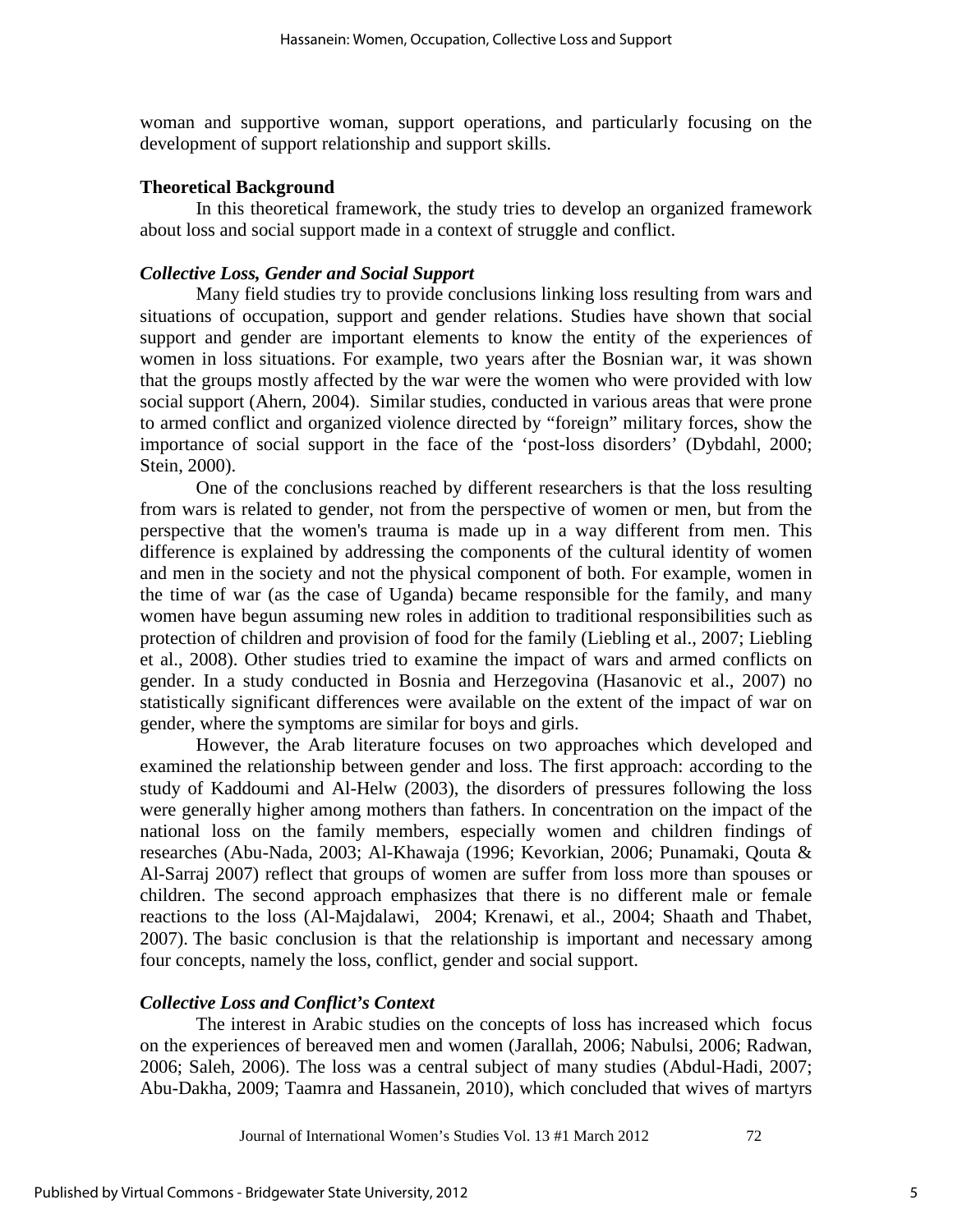woman and supportive woman, support operations, and particularly focusing on the development of support relationship and support skills.

### **Theoretical Background**

In this theoretical framework, the study tries to develop an organized framework about loss and social support made in a context of struggle and conflict.

# *Collective Loss, Gender and Social Support*

Many field studies try to provide conclusions linking loss resulting from wars and situations of occupation, support and gender relations. Studies have shown that social support and gender are important elements to know the entity of the experiences of women in loss situations. For example, two years after the Bosnian war, it was shown that the groups mostly affected by the war were the women who were provided with low social support (Ahern, 2004). Similar studies, conducted in various areas that were prone to armed conflict and organized violence directed by "foreign" military forces, show the importance of social support in the face of the 'post-loss disorders' (Dybdahl, 2000; Stein, 2000).

One of the conclusions reached by different researchers is that the loss resulting from wars is related to gender, not from the perspective of women or men, but from the perspective that the women's trauma is made up in a way different from men. This difference is explained by addressing the components of the cultural identity of women and men in the society and not the physical component of both. For example, women in the time of war (as the case of Uganda) became responsible for the family, and many women have begun assuming new roles in addition to traditional responsibilities such as protection of children and provision of food for the family (Liebling et al., 2007; Liebling et al., 2008). Other studies tried to examine the impact of wars and armed conflicts on gender. In a study conducted in Bosnia and Herzegovina (Hasanovic et al., 2007) no statistically significant differences were available on the extent of the impact of war on gender, where the symptoms are similar for boys and girls.

However, the Arab literature focuses on two approaches which developed and examined the relationship between gender and loss. The first approach: according to the study of Kaddoumi and Al-Helw (2003), the disorders of pressures following the loss were generally higher among mothers than fathers. In concentration on the impact of the national loss on the family members, especially women and children findings of researches (Abu-Nada, 2003; Al-Khawaja (1996; Kevorkian, 2006; Punamaki, Qouta & Al-Sarraj 2007) reflect that groups of women are suffer from loss more than spouses or children. The second approach emphasizes that there is no different male or female reactions to the loss (Al-Majdalawi, 2004; Krenawi, et al., 2004; Shaath and Thabet, 2007). The basic conclusion is that the relationship is important and necessary among four concepts, namely the loss, conflict, gender and social support.

#### *Collective Loss and Conflict's Context*

The interest in Arabic studies on the concepts of loss has increased which focus on the experiences of bereaved men and women (Jarallah, 2006; Nabulsi, 2006; Radwan, 2006; Saleh, 2006). The loss was a central subject of many studies (Abdul-Hadi, 2007; Abu-Dakha, 2009; Taamra and Hassanein, 2010), which concluded that wives of martyrs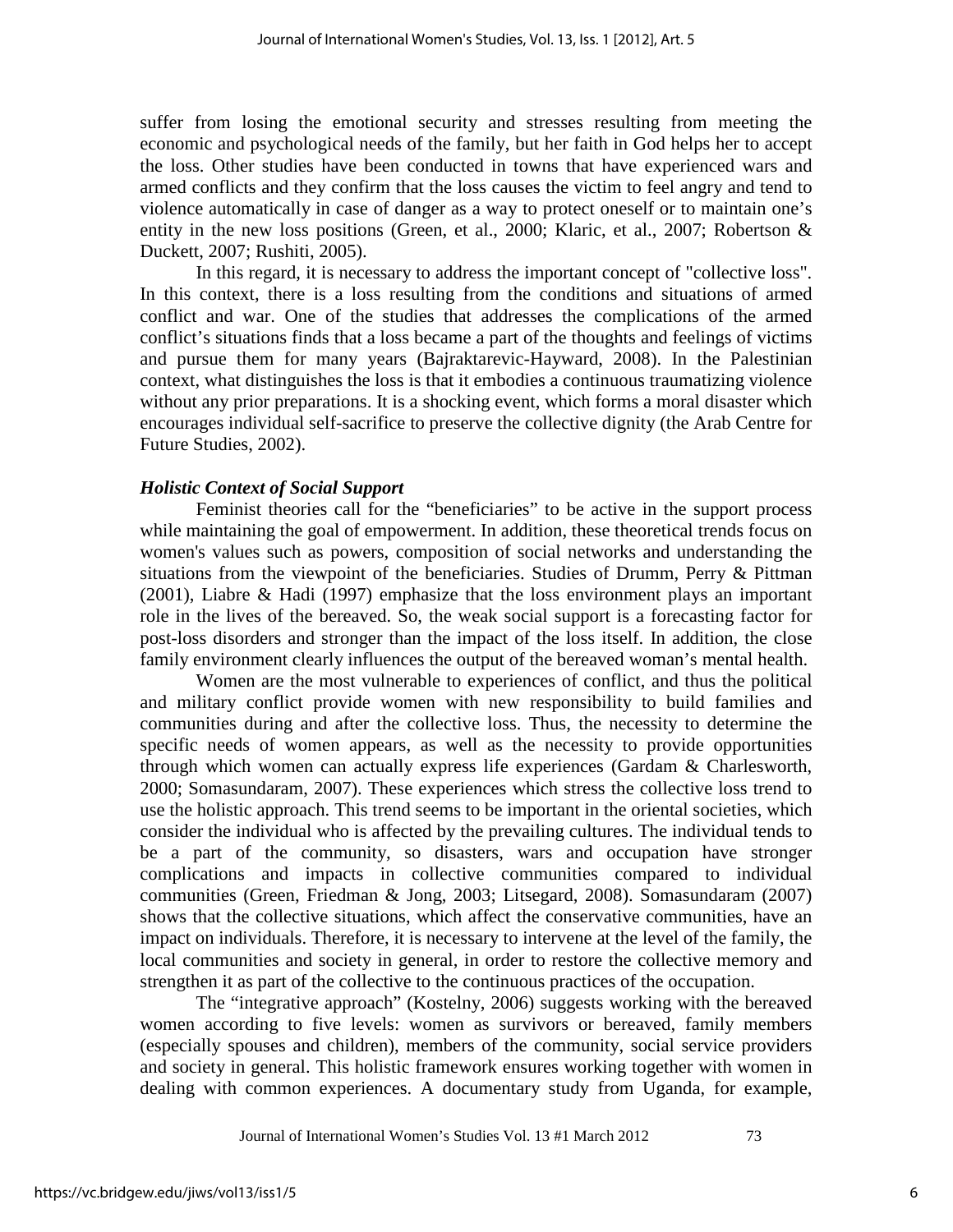suffer from losing the emotional security and stresses resulting from meeting the economic and psychological needs of the family, but her faith in God helps her to accept the loss. Other studies have been conducted in towns that have experienced wars and armed conflicts and they confirm that the loss causes the victim to feel angry and tend to violence automatically in case of danger as a way to protect oneself or to maintain one's entity in the new loss positions (Green, et al., 2000; Klaric, et al., 2007; Robertson & Duckett, 2007; Rushiti, 2005).

In this regard, it is necessary to address the important concept of "collective loss". In this context, there is a loss resulting from the conditions and situations of armed conflict and war. One of the studies that addresses the complications of the armed conflict's situations finds that a loss became a part of the thoughts and feelings of victims and pursue them for many years (Bajraktarevic-Hayward, 2008). In the Palestinian context, what distinguishes the loss is that it embodies a continuous traumatizing violence without any prior preparations. It is a shocking event, which forms a moral disaster which encourages individual self-sacrifice to preserve the collective dignity (the Arab Centre for Future Studies, 2002).

## *Holistic Context of Social Support*

Feminist theories call for the "beneficiaries" to be active in the support process while maintaining the goal of empowerment. In addition, these theoretical trends focus on women's values such as powers, composition of social networks and understanding the situations from the viewpoint of the beneficiaries. Studies of Drumm, Perry & Pittman (2001), Liabre & Hadi (1997) emphasize that the loss environment plays an important role in the lives of the bereaved. So, the weak social support is a forecasting factor for post-loss disorders and stronger than the impact of the loss itself. In addition, the close family environment clearly influences the output of the bereaved woman's mental health.

Women are the most vulnerable to experiences of conflict, and thus the political and military conflict provide women with new responsibility to build families and communities during and after the collective loss. Thus, the necessity to determine the specific needs of women appears, as well as the necessity to provide opportunities through which women can actually express life experiences (Gardam & Charlesworth, 2000; Somasundaram, 2007). These experiences which stress the collective loss trend to use the holistic approach. This trend seems to be important in the oriental societies, which consider the individual who is affected by the prevailing cultures. The individual tends to be a part of the community, so disasters, wars and occupation have stronger complications and impacts in collective communities compared to individual communities (Green, Friedman & Jong, 2003; Litsegard, 2008). Somasundaram (2007) shows that the collective situations, which affect the conservative communities, have an impact on individuals. Therefore, it is necessary to intervene at the level of the family, the local communities and society in general, in order to restore the collective memory and strengthen it as part of the collective to the continuous practices of the occupation.

The "integrative approach" (Kostelny, 2006) suggests working with the bereaved women according to five levels: women as survivors or bereaved, family members (especially spouses and children), members of the community, social service providers and society in general. This holistic framework ensures working together with women in dealing with common experiences. A documentary study from Uganda, for example,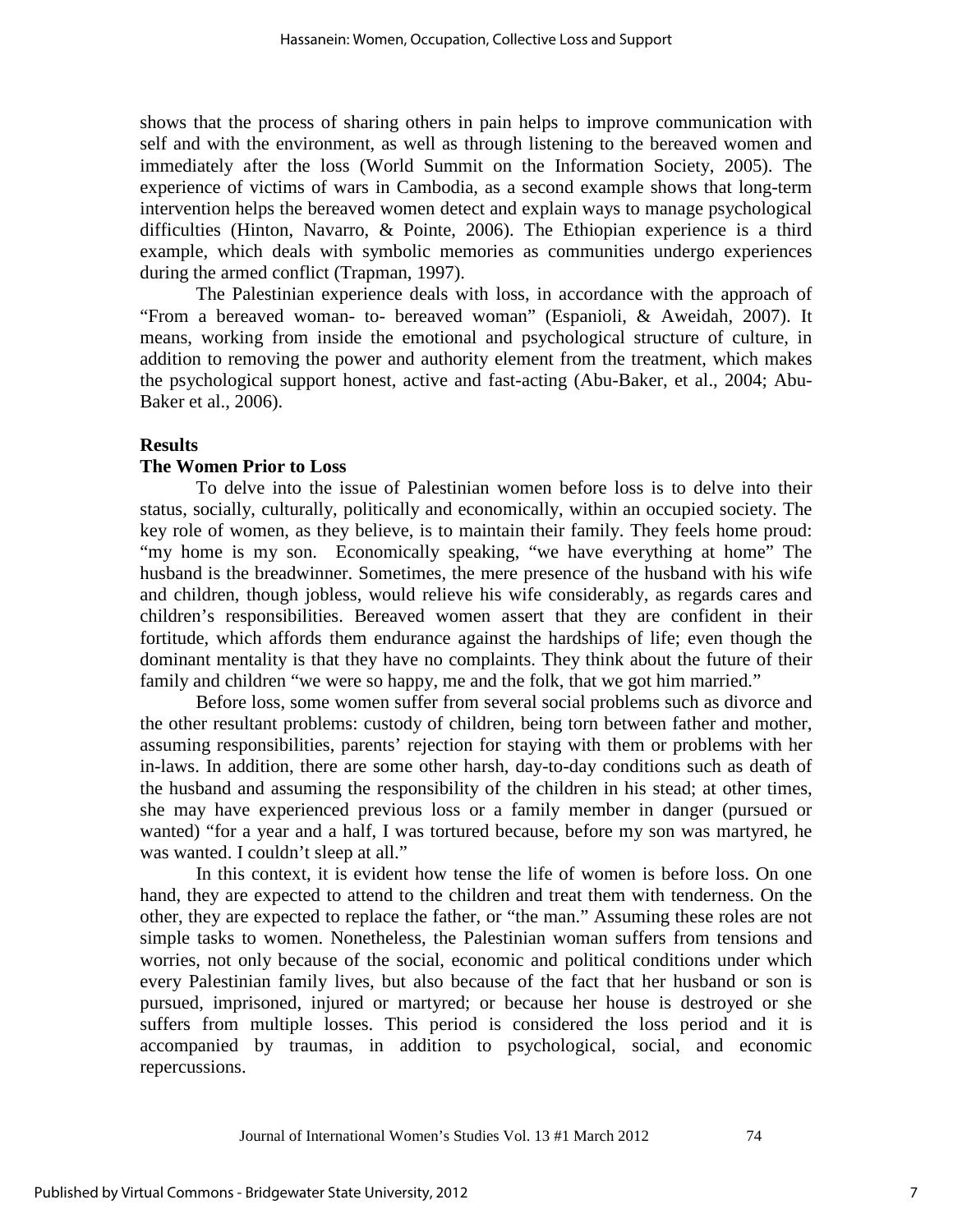shows that the process of sharing others in pain helps to improve communication with self and with the environment, as well as through listening to the bereaved women and immediately after the loss (World Summit on the Information Society, 2005). The experience of victims of wars in Cambodia, as a second example shows that long-term intervention helps the bereaved women detect and explain ways to manage psychological difficulties (Hinton, Navarro, & Pointe, 2006). The Ethiopian experience is a third example, which deals with symbolic memories as communities undergo experiences during the armed conflict (Trapman, 1997).

The Palestinian experience deals with loss, in accordance with the approach of "From a bereaved woman- to- bereaved woman" (Espanioli, & Aweidah, 2007). It means, working from inside the emotional and psychological structure of culture, in addition to removing the power and authority element from the treatment, which makes the psychological support honest, active and fast-acting (Abu-Baker, et al., 2004; Abu-Baker et al., 2006).

### **Results**

### **The Women Prior to Loss**

To delve into the issue of Palestinian women before loss is to delve into their status, socially, culturally, politically and economically, within an occupied society. The key role of women, as they believe, is to maintain their family. They feels home proud: "my home is my son. Economically speaking, "we have everything at home" The husband is the breadwinner. Sometimes, the mere presence of the husband with his wife and children, though jobless, would relieve his wife considerably, as regards cares and children's responsibilities. Bereaved women assert that they are confident in their fortitude, which affords them endurance against the hardships of life; even though the dominant mentality is that they have no complaints. They think about the future of their family and children "we were so happy, me and the folk, that we got him married."

Before loss, some women suffer from several social problems such as divorce and the other resultant problems: custody of children, being torn between father and mother, assuming responsibilities, parents' rejection for staying with them or problems with her in-laws. In addition, there are some other harsh, day-to-day conditions such as death of the husband and assuming the responsibility of the children in his stead; at other times, she may have experienced previous loss or a family member in danger (pursued or wanted) "for a year and a half, I was tortured because, before my son was martyred, he was wanted. I couldn't sleep at all."

In this context, it is evident how tense the life of women is before loss. On one hand, they are expected to attend to the children and treat them with tenderness. On the other, they are expected to replace the father, or "the man." Assuming these roles are not simple tasks to women. Nonetheless, the Palestinian woman suffers from tensions and worries, not only because of the social, economic and political conditions under which every Palestinian family lives, but also because of the fact that her husband or son is pursued, imprisoned, injured or martyred; or because her house is destroyed or she suffers from multiple losses. This period is considered the loss period and it is accompanied by traumas, in addition to psychological, social, and economic repercussions.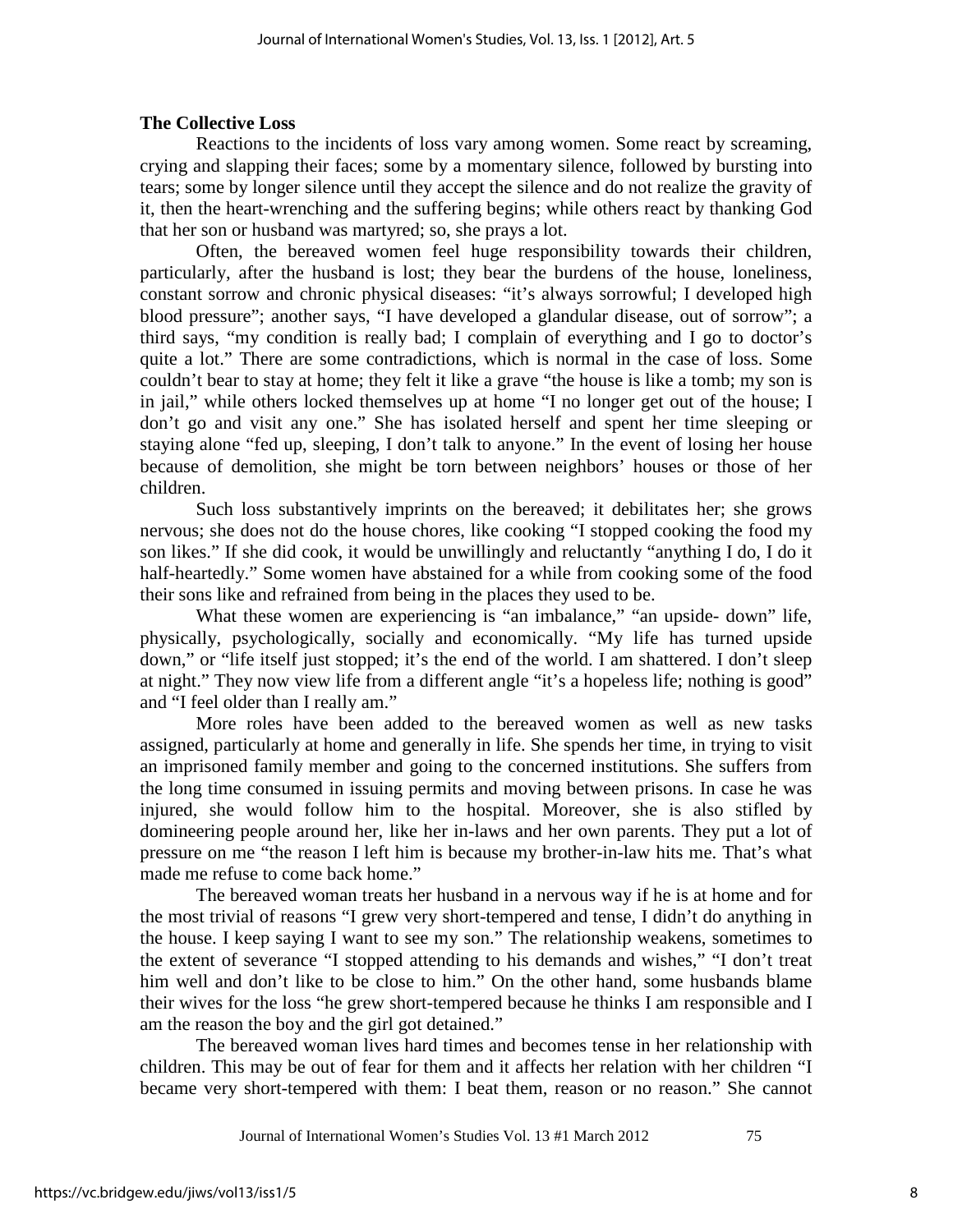# **The Collective Loss**

Reactions to the incidents of loss vary among women. Some react by screaming, crying and slapping their faces; some by a momentary silence, followed by bursting into tears; some by longer silence until they accept the silence and do not realize the gravity of it, then the heart-wrenching and the suffering begins; while others react by thanking God that her son or husband was martyred; so, she prays a lot.

Often, the bereaved women feel huge responsibility towards their children, particularly, after the husband is lost; they bear the burdens of the house, loneliness, constant sorrow and chronic physical diseases: "it's always sorrowful; I developed high blood pressure"; another says, "I have developed a glandular disease, out of sorrow"; a third says, "my condition is really bad; I complain of everything and I go to doctor's quite a lot." There are some contradictions, which is normal in the case of loss. Some couldn't bear to stay at home; they felt it like a grave "the house is like a tomb; my son is in jail," while others locked themselves up at home "I no longer get out of the house; I don't go and visit any one." She has isolated herself and spent her time sleeping or staying alone "fed up, sleeping, I don't talk to anyone." In the event of losing her house because of demolition, she might be torn between neighbors' houses or those of her children.

Such loss substantively imprints on the bereaved; it debilitates her; she grows nervous; she does not do the house chores, like cooking "I stopped cooking the food my son likes." If she did cook, it would be unwillingly and reluctantly "anything I do, I do it half-heartedly." Some women have abstained for a while from cooking some of the food their sons like and refrained from being in the places they used to be.

What these women are experiencing is "an imbalance," "an upside-down" life, physically, psychologically, socially and economically. "My life has turned upside down," or "life itself just stopped; it's the end of the world. I am shattered. I don't sleep at night." They now view life from a different angle "it's a hopeless life; nothing is good" and "I feel older than I really am."

More roles have been added to the bereaved women as well as new tasks assigned, particularly at home and generally in life. She spends her time, in trying to visit an imprisoned family member and going to the concerned institutions. She suffers from the long time consumed in issuing permits and moving between prisons. In case he was injured, she would follow him to the hospital. Moreover, she is also stifled by domineering people around her, like her in-laws and her own parents. They put a lot of pressure on me "the reason I left him is because my brother-in-law hits me. That's what made me refuse to come back home."

The bereaved woman treats her husband in a nervous way if he is at home and for the most trivial of reasons "I grew very short-tempered and tense, I didn't do anything in the house. I keep saying I want to see my son." The relationship weakens, sometimes to the extent of severance "I stopped attending to his demands and wishes," "I don't treat him well and don't like to be close to him." On the other hand, some husbands blame their wives for the loss "he grew short-tempered because he thinks I am responsible and I am the reason the boy and the girl got detained."

The bereaved woman lives hard times and becomes tense in her relationship with children. This may be out of fear for them and it affects her relation with her children "I became very short-tempered with them: I beat them, reason or no reason." She cannot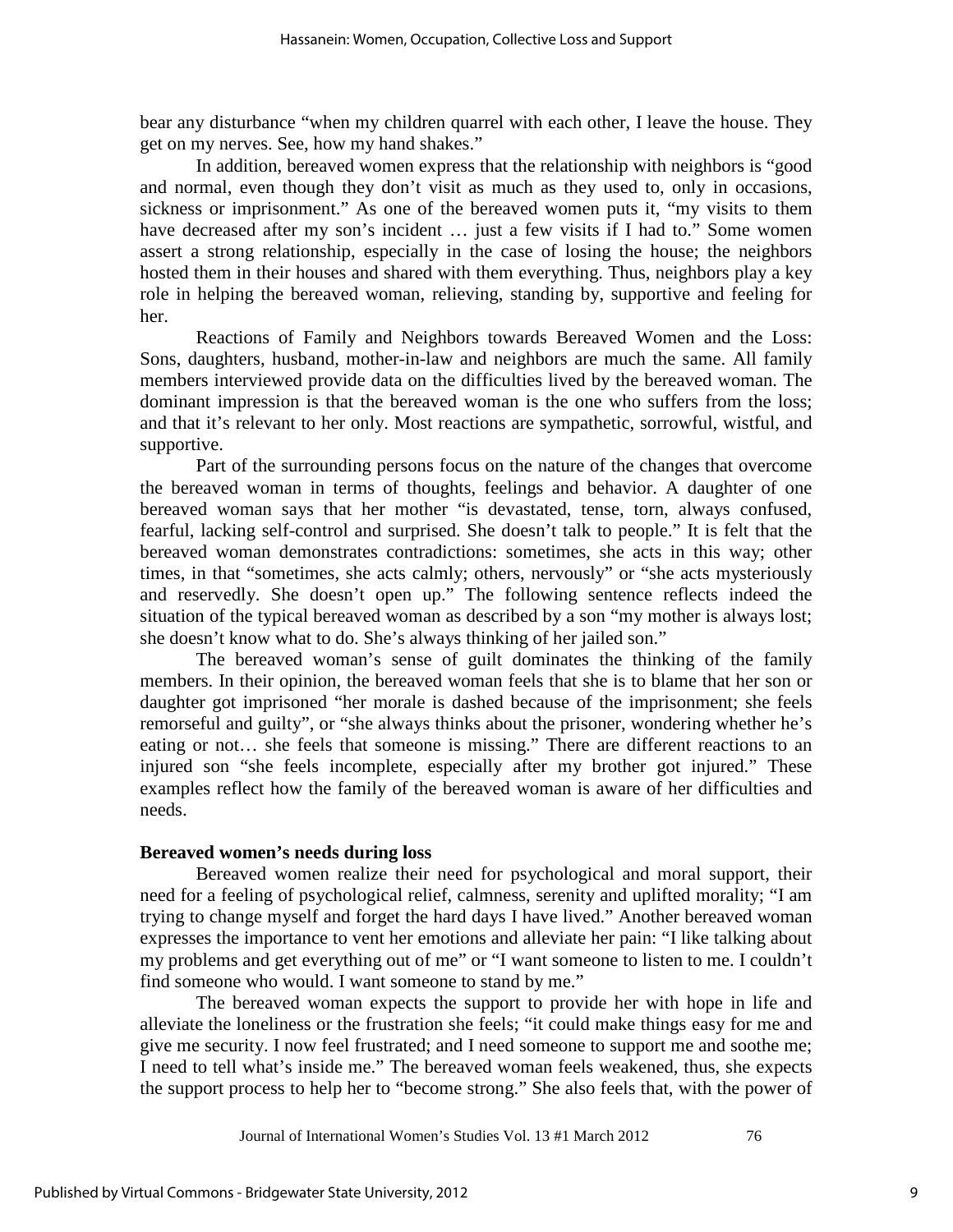bear any disturbance "when my children quarrel with each other, I leave the house. They get on my nerves. See, how my hand shakes."

In addition, bereaved women express that the relationship with neighbors is "good and normal, even though they don't visit as much as they used to, only in occasions, sickness or imprisonment." As one of the bereaved women puts it, "my visits to them have decreased after my son's incident ... just a few visits if I had to." Some women assert a strong relationship, especially in the case of losing the house; the neighbors hosted them in their houses and shared with them everything. Thus, neighbors play a key role in helping the bereaved woman, relieving, standing by, supportive and feeling for her.

Reactions of Family and Neighbors towards Bereaved Women and the Loss: Sons, daughters, husband, mother-in-law and neighbors are much the same. All family members interviewed provide data on the difficulties lived by the bereaved woman. The dominant impression is that the bereaved woman is the one who suffers from the loss; and that it's relevant to her only. Most reactions are sympathetic, sorrowful, wistful, and supportive.

Part of the surrounding persons focus on the nature of the changes that overcome the bereaved woman in terms of thoughts, feelings and behavior. A daughter of one bereaved woman says that her mother "is devastated, tense, torn, always confused, fearful, lacking self-control and surprised. She doesn't talk to people." It is felt that the bereaved woman demonstrates contradictions: sometimes, she acts in this way; other times, in that "sometimes, she acts calmly; others, nervously" or "she acts mysteriously and reservedly. She doesn't open up." The following sentence reflects indeed the situation of the typical bereaved woman as described by a son "my mother is always lost; she doesn't know what to do. She's always thinking of her jailed son."

The bereaved woman's sense of guilt dominates the thinking of the family members. In their opinion, the bereaved woman feels that she is to blame that her son or daughter got imprisoned "her morale is dashed because of the imprisonment; she feels remorseful and guilty", or "she always thinks about the prisoner, wondering whether he's eating or not… she feels that someone is missing." There are different reactions to an injured son "she feels incomplete, especially after my brother got injured." These examples reflect how the family of the bereaved woman is aware of her difficulties and needs.

### **Bereaved women's needs during loss**

Bereaved women realize their need for psychological and moral support, their need for a feeling of psychological relief, calmness, serenity and uplifted morality; "I am trying to change myself and forget the hard days I have lived." Another bereaved woman expresses the importance to vent her emotions and alleviate her pain: "I like talking about my problems and get everything out of me" or "I want someone to listen to me. I couldn't find someone who would. I want someone to stand by me."

The bereaved woman expects the support to provide her with hope in life and alleviate the loneliness or the frustration she feels; "it could make things easy for me and give me security. I now feel frustrated; and I need someone to support me and soothe me; I need to tell what's inside me." The bereaved woman feels weakened, thus, she expects the support process to help her to "become strong." She also feels that, with the power of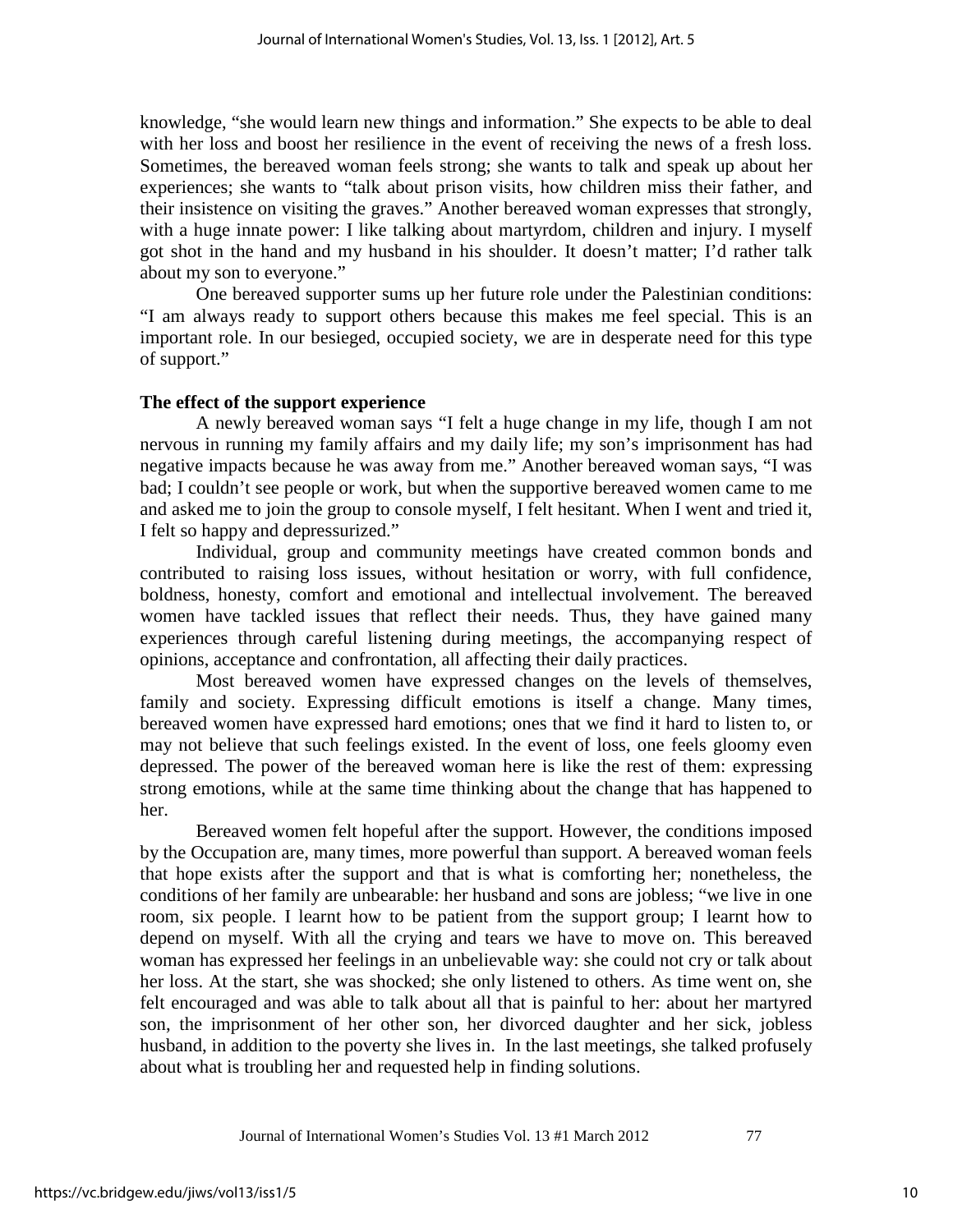knowledge, "she would learn new things and information." She expects to be able to deal with her loss and boost her resilience in the event of receiving the news of a fresh loss. Sometimes, the bereaved woman feels strong; she wants to talk and speak up about her experiences; she wants to "talk about prison visits, how children miss their father, and their insistence on visiting the graves." Another bereaved woman expresses that strongly, with a huge innate power: I like talking about martyrdom, children and injury. I myself got shot in the hand and my husband in his shoulder. It doesn't matter; I'd rather talk about my son to everyone."

One bereaved supporter sums up her future role under the Palestinian conditions: "I am always ready to support others because this makes me feel special. This is an important role. In our besieged, occupied society, we are in desperate need for this type of support."

# **The effect of the support experience**

A newly bereaved woman says "I felt a huge change in my life, though I am not nervous in running my family affairs and my daily life; my son's imprisonment has had negative impacts because he was away from me." Another bereaved woman says, "I was bad; I couldn't see people or work, but when the supportive bereaved women came to me and asked me to join the group to console myself, I felt hesitant. When I went and tried it, I felt so happy and depressurized."

Individual, group and community meetings have created common bonds and contributed to raising loss issues, without hesitation or worry, with full confidence, boldness, honesty, comfort and emotional and intellectual involvement. The bereaved women have tackled issues that reflect their needs. Thus, they have gained many experiences through careful listening during meetings, the accompanying respect of opinions, acceptance and confrontation, all affecting their daily practices.

Most bereaved women have expressed changes on the levels of themselves, family and society. Expressing difficult emotions is itself a change. Many times, bereaved women have expressed hard emotions; ones that we find it hard to listen to, or may not believe that such feelings existed. In the event of loss, one feels gloomy even depressed. The power of the bereaved woman here is like the rest of them: expressing strong emotions, while at the same time thinking about the change that has happened to her.

Bereaved women felt hopeful after the support. However, the conditions imposed by the Occupation are, many times, more powerful than support. A bereaved woman feels that hope exists after the support and that is what is comforting her; nonetheless, the conditions of her family are unbearable: her husband and sons are jobless; "we live in one room, six people. I learnt how to be patient from the support group; I learnt how to depend on myself. With all the crying and tears we have to move on. This bereaved woman has expressed her feelings in an unbelievable way: she could not cry or talk about her loss. At the start, she was shocked; she only listened to others. As time went on, she felt encouraged and was able to talk about all that is painful to her: about her martyred son, the imprisonment of her other son, her divorced daughter and her sick, jobless husband, in addition to the poverty she lives in. In the last meetings, she talked profusely about what is troubling her and requested help in finding solutions.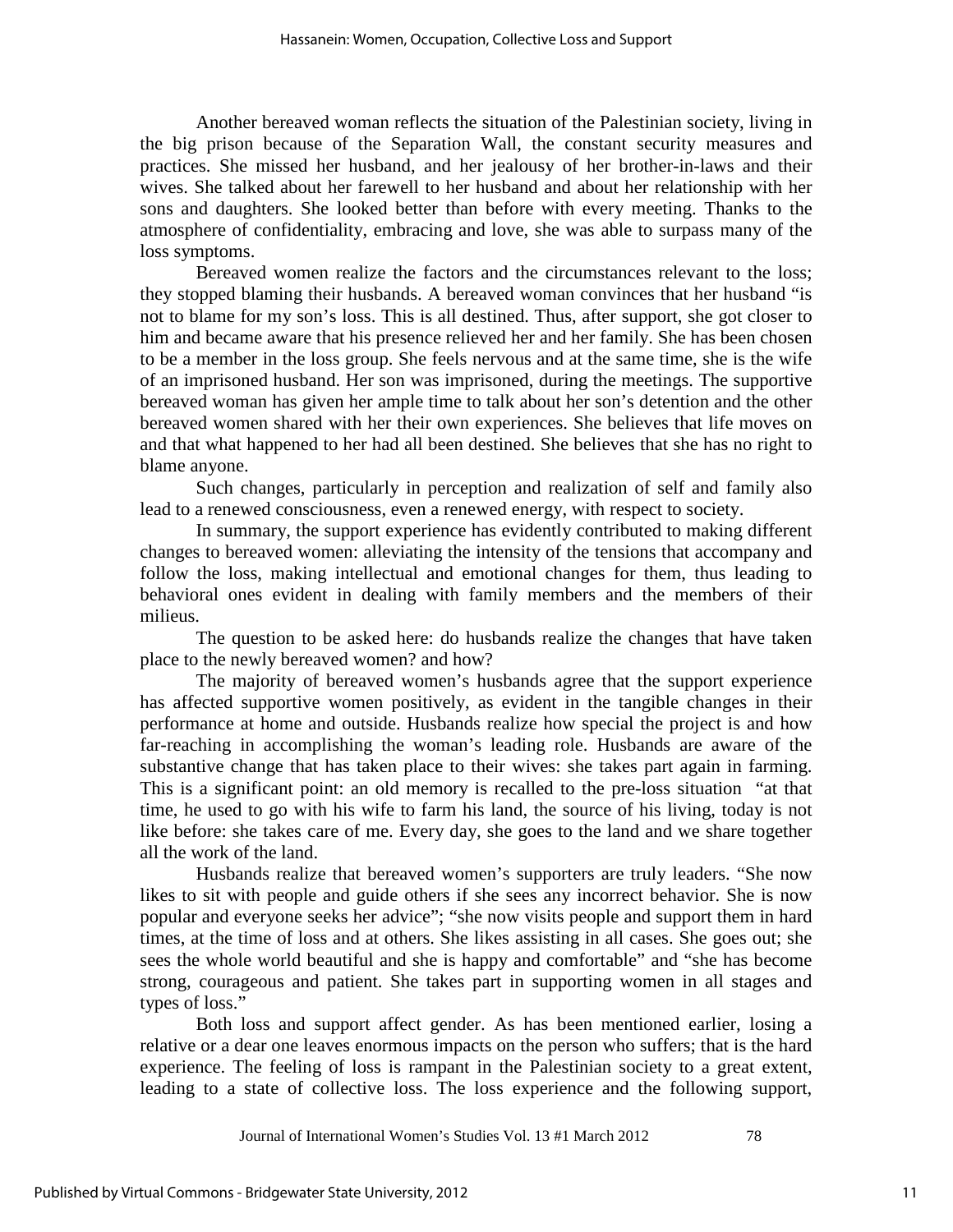Another bereaved woman reflects the situation of the Palestinian society, living in the big prison because of the Separation Wall, the constant security measures and practices. She missed her husband, and her jealousy of her brother-in-laws and their wives. She talked about her farewell to her husband and about her relationship with her sons and daughters. She looked better than before with every meeting. Thanks to the atmosphere of confidentiality, embracing and love, she was able to surpass many of the loss symptoms.

Bereaved women realize the factors and the circumstances relevant to the loss; they stopped blaming their husbands. A bereaved woman convinces that her husband "is not to blame for my son's loss. This is all destined. Thus, after support, she got closer to him and became aware that his presence relieved her and her family. She has been chosen to be a member in the loss group. She feels nervous and at the same time, she is the wife of an imprisoned husband. Her son was imprisoned, during the meetings. The supportive bereaved woman has given her ample time to talk about her son's detention and the other bereaved women shared with her their own experiences. She believes that life moves on and that what happened to her had all been destined. She believes that she has no right to blame anyone.

Such changes, particularly in perception and realization of self and family also lead to a renewed consciousness, even a renewed energy, with respect to society.

In summary, the support experience has evidently contributed to making different changes to bereaved women: alleviating the intensity of the tensions that accompany and follow the loss, making intellectual and emotional changes for them, thus leading to behavioral ones evident in dealing with family members and the members of their milieus.

The question to be asked here: do husbands realize the changes that have taken place to the newly bereaved women? and how?

The majority of bereaved women's husbands agree that the support experience has affected supportive women positively, as evident in the tangible changes in their performance at home and outside. Husbands realize how special the project is and how far-reaching in accomplishing the woman's leading role. Husbands are aware of the substantive change that has taken place to their wives: she takes part again in farming. This is a significant point: an old memory is recalled to the pre-loss situation "at that time, he used to go with his wife to farm his land, the source of his living, today is not like before: she takes care of me. Every day, she goes to the land and we share together all the work of the land.

Husbands realize that bereaved women's supporters are truly leaders. "She now likes to sit with people and guide others if she sees any incorrect behavior. She is now popular and everyone seeks her advice"; "she now visits people and support them in hard times, at the time of loss and at others. She likes assisting in all cases. She goes out; she sees the whole world beautiful and she is happy and comfortable" and "she has become strong, courageous and patient. She takes part in supporting women in all stages and types of loss."

Both loss and support affect gender. As has been mentioned earlier, losing a relative or a dear one leaves enormous impacts on the person who suffers; that is the hard experience. The feeling of loss is rampant in the Palestinian society to a great extent, leading to a state of collective loss. The loss experience and the following support,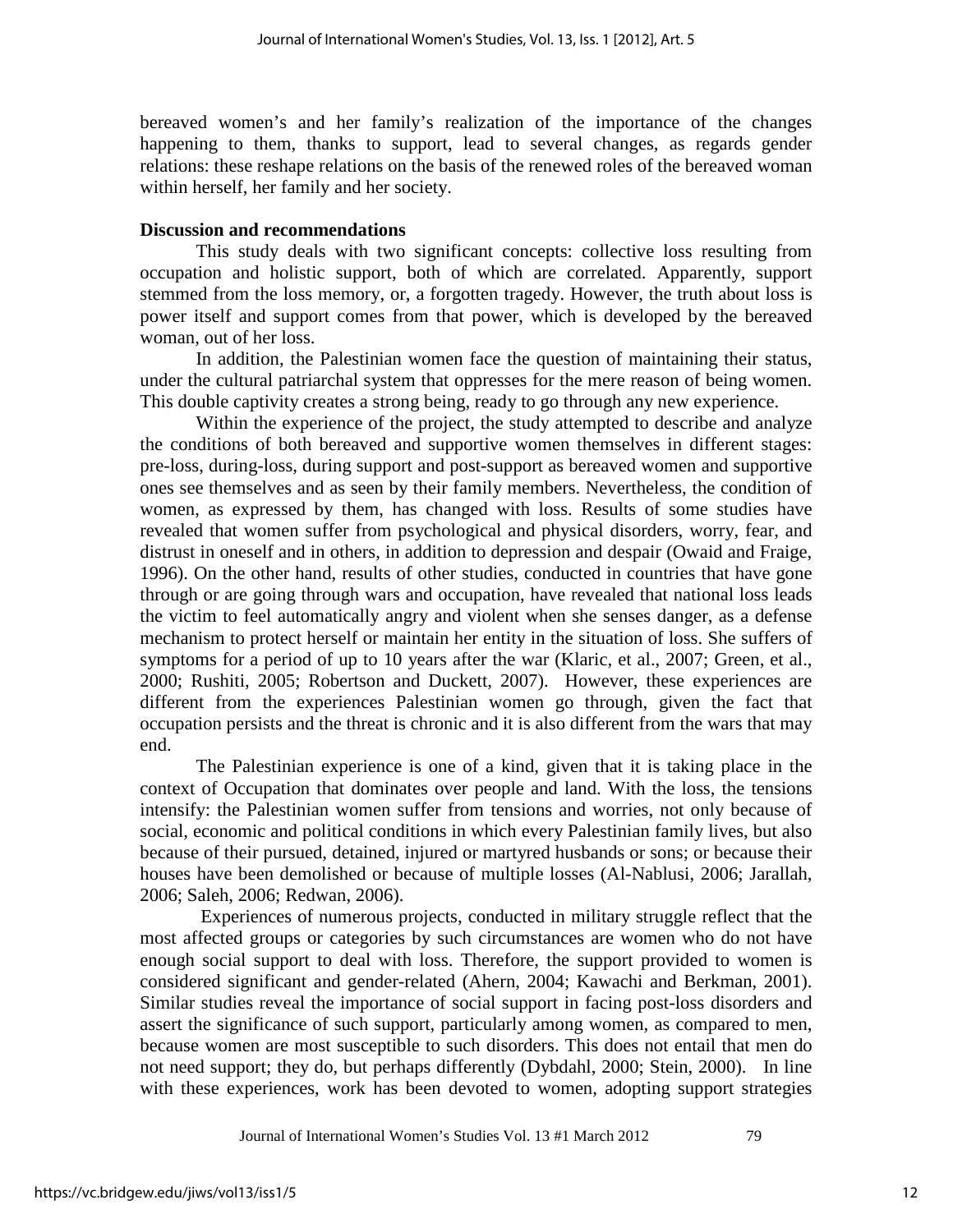bereaved women's and her family's realization of the importance of the changes happening to them, thanks to support, lead to several changes, as regards gender relations: these reshape relations on the basis of the renewed roles of the bereaved woman within herself, her family and her society.

## **Discussion and recommendations**

This study deals with two significant concepts: collective loss resulting from occupation and holistic support, both of which are correlated. Apparently, support stemmed from the loss memory, or, a forgotten tragedy. However, the truth about loss is power itself and support comes from that power, which is developed by the bereaved woman, out of her loss.

In addition, the Palestinian women face the question of maintaining their status, under the cultural patriarchal system that oppresses for the mere reason of being women. This double captivity creates a strong being, ready to go through any new experience.

Within the experience of the project, the study attempted to describe and analyze the conditions of both bereaved and supportive women themselves in different stages: pre-loss, during-loss, during support and post-support as bereaved women and supportive ones see themselves and as seen by their family members. Nevertheless, the condition of women, as expressed by them, has changed with loss. Results of some studies have revealed that women suffer from psychological and physical disorders, worry, fear, and distrust in oneself and in others, in addition to depression and despair (Owaid and Fraige, 1996). On the other hand, results of other studies, conducted in countries that have gone through or are going through wars and occupation, have revealed that national loss leads the victim to feel automatically angry and violent when she senses danger, as a defense mechanism to protect herself or maintain her entity in the situation of loss. She suffers of symptoms for a period of up to 10 years after the war (Klaric, et al., 2007; Green, et al., 2000; Rushiti, 2005; Robertson and Duckett, 2007). However, these experiences are different from the experiences Palestinian women go through, given the fact that occupation persists and the threat is chronic and it is also different from the wars that may end.

The Palestinian experience is one of a kind, given that it is taking place in the context of Occupation that dominates over people and land. With the loss, the tensions intensify: the Palestinian women suffer from tensions and worries, not only because of social, economic and political conditions in which every Palestinian family lives, but also because of their pursued, detained, injured or martyred husbands or sons; or because their houses have been demolished or because of multiple losses (Al-Nablusi, 2006; Jarallah, 2006; Saleh, 2006; Redwan, 2006).

Experiences of numerous projects, conducted in military struggle reflect that the most affected groups or categories by such circumstances are women who do not have enough social support to deal with loss. Therefore, the support provided to women is considered significant and gender-related (Ahern, 2004; Kawachi and Berkman, 2001). Similar studies reveal the importance of social support in facing post-loss disorders and assert the significance of such support, particularly among women, as compared to men, because women are most susceptible to such disorders. This does not entail that men do not need support; they do, but perhaps differently (Dybdahl, 2000; Stein, 2000). In line with these experiences, work has been devoted to women, adopting support strategies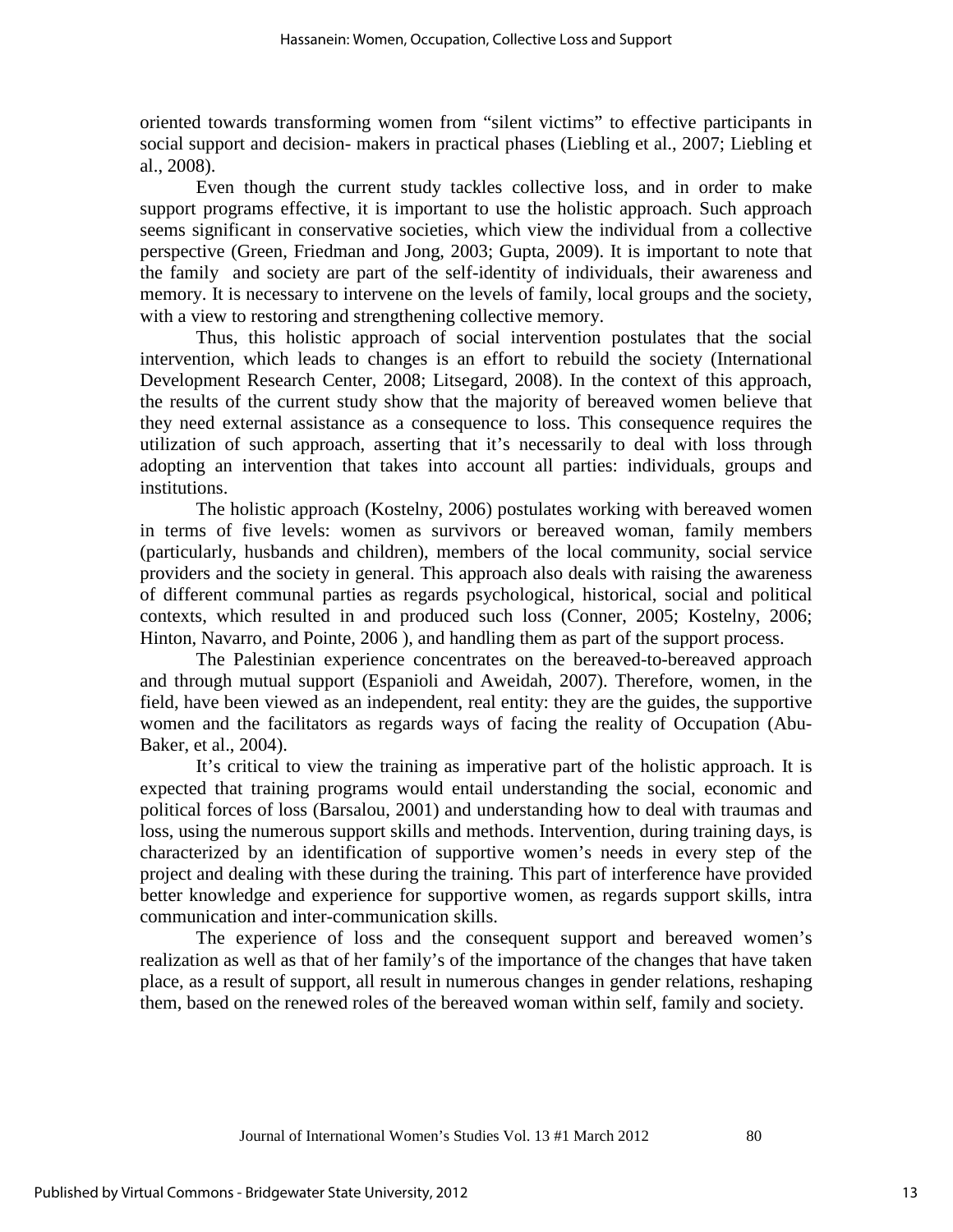oriented towards transforming women from "silent victims" to effective participants in social support and decision- makers in practical phases (Liebling et al., 2007; Liebling et al., 2008).

Even though the current study tackles collective loss, and in order to make support programs effective, it is important to use the holistic approach. Such approach seems significant in conservative societies, which view the individual from a collective perspective (Green, Friedman and Jong, 2003; Gupta, 2009). It is important to note that the family and society are part of the self-identity of individuals, their awareness and memory. It is necessary to intervene on the levels of family, local groups and the society, with a view to restoring and strengthening collective memory.

Thus, this holistic approach of social intervention postulates that the social intervention, which leads to changes is an effort to rebuild the society (International Development Research Center, 2008; Litsegard, 2008). In the context of this approach, the results of the current study show that the majority of bereaved women believe that they need external assistance as a consequence to loss. This consequence requires the utilization of such approach, asserting that it's necessarily to deal with loss through adopting an intervention that takes into account all parties: individuals, groups and institutions.

The holistic approach (Kostelny, 2006) postulates working with bereaved women in terms of five levels: women as survivors or bereaved woman, family members (particularly, husbands and children), members of the local community, social service providers and the society in general. This approach also deals with raising the awareness of different communal parties as regards psychological, historical, social and political contexts, which resulted in and produced such loss (Conner, 2005; Kostelny, 2006; Hinton, Navarro, and Pointe, 2006 ), and handling them as part of the support process.

The Palestinian experience concentrates on the bereaved-to-bereaved approach and through mutual support (Espanioli and Aweidah, 2007). Therefore, women, in the field, have been viewed as an independent, real entity: they are the guides, the supportive women and the facilitators as regards ways of facing the reality of Occupation (Abu-Baker, et al., 2004).

It's critical to view the training as imperative part of the holistic approach. It is expected that training programs would entail understanding the social, economic and political forces of loss (Barsalou, 2001) and understanding how to deal with traumas and loss, using the numerous support skills and methods. Intervention, during training days, is characterized by an identification of supportive women's needs in every step of the project and dealing with these during the training. This part of interference have provided better knowledge and experience for supportive women, as regards support skills, intra communication and inter-communication skills.

The experience of loss and the consequent support and bereaved women's realization as well as that of her family's of the importance of the changes that have taken place, as a result of support, all result in numerous changes in gender relations, reshaping them, based on the renewed roles of the bereaved woman within self, family and society.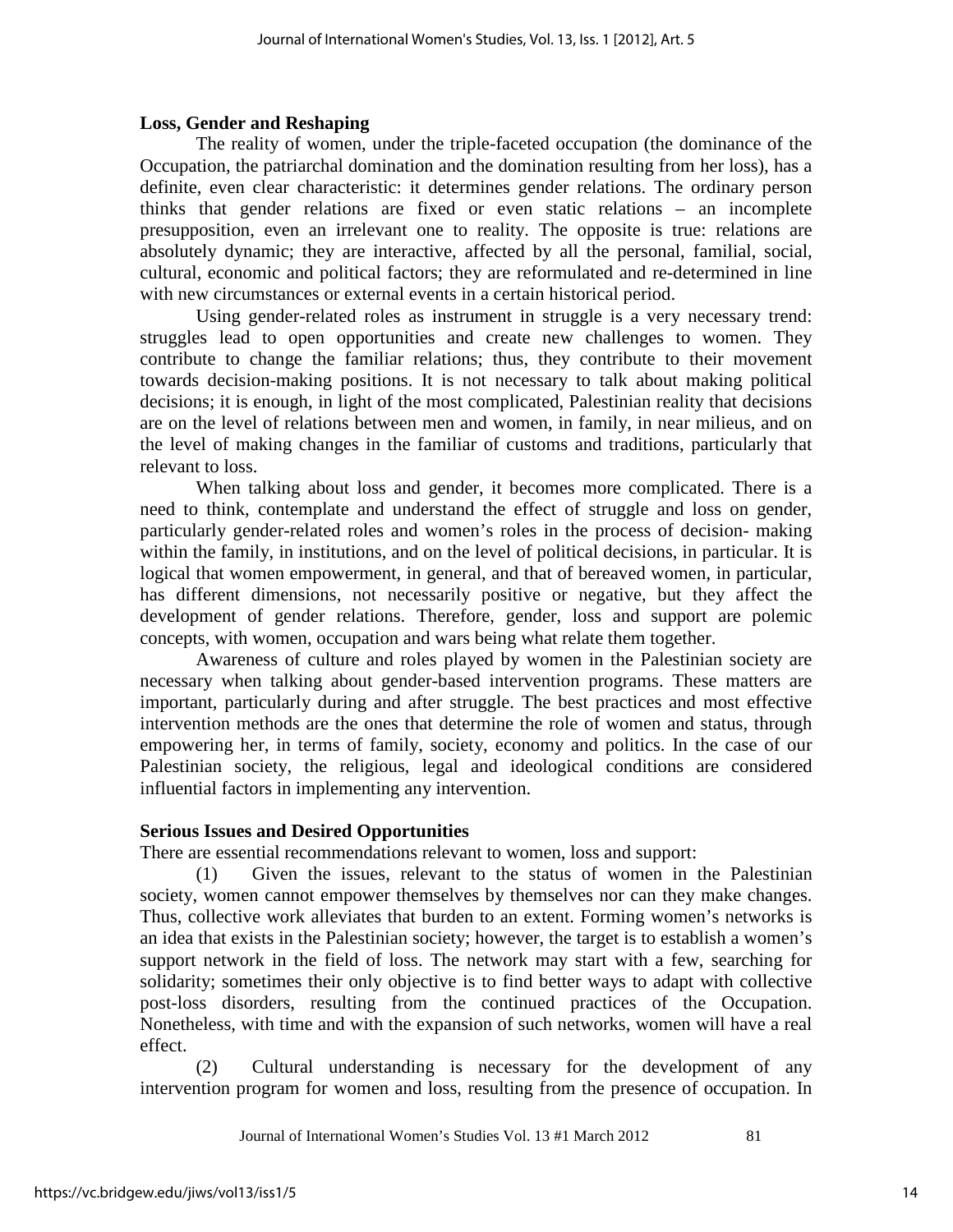# **Loss, Gender and Reshaping**

The reality of women, under the triple-faceted occupation (the dominance of the Occupation, the patriarchal domination and the domination resulting from her loss), has a definite, even clear characteristic: it determines gender relations. The ordinary person thinks that gender relations are fixed or even static relations – an incomplete presupposition, even an irrelevant one to reality. The opposite is true: relations are absolutely dynamic; they are interactive, affected by all the personal, familial, social, cultural, economic and political factors; they are reformulated and re-determined in line with new circumstances or external events in a certain historical period.

Using gender-related roles as instrument in struggle is a very necessary trend: struggles lead to open opportunities and create new challenges to women. They contribute to change the familiar relations; thus, they contribute to their movement towards decision-making positions. It is not necessary to talk about making political decisions; it is enough, in light of the most complicated, Palestinian reality that decisions are on the level of relations between men and women, in family, in near milieus, and on the level of making changes in the familiar of customs and traditions, particularly that relevant to loss.

When talking about loss and gender, it becomes more complicated. There is a need to think, contemplate and understand the effect of struggle and loss on gender, particularly gender-related roles and women's roles in the process of decision- making within the family, in institutions, and on the level of political decisions, in particular. It is logical that women empowerment, in general, and that of bereaved women, in particular, has different dimensions, not necessarily positive or negative, but they affect the development of gender relations. Therefore, gender, loss and support are polemic concepts, with women, occupation and wars being what relate them together.

Awareness of culture and roles played by women in the Palestinian society are necessary when talking about gender-based intervention programs. These matters are important, particularly during and after struggle. The best practices and most effective intervention methods are the ones that determine the role of women and status, through empowering her, in terms of family, society, economy and politics. In the case of our Palestinian society, the religious, legal and ideological conditions are considered influential factors in implementing any intervention.

# **Serious Issues and Desired Opportunities**

There are essential recommendations relevant to women, loss and support:

(1) Given the issues, relevant to the status of women in the Palestinian society, women cannot empower themselves by themselves nor can they make changes. Thus, collective work alleviates that burden to an extent. Forming women's networks is an idea that exists in the Palestinian society; however, the target is to establish a women's support network in the field of loss. The network may start with a few, searching for solidarity; sometimes their only objective is to find better ways to adapt with collective post-loss disorders, resulting from the continued practices of the Occupation. Nonetheless, with time and with the expansion of such networks, women will have a real effect.

(2) Cultural understanding is necessary for the development of any intervention program for women and loss, resulting from the presence of occupation. In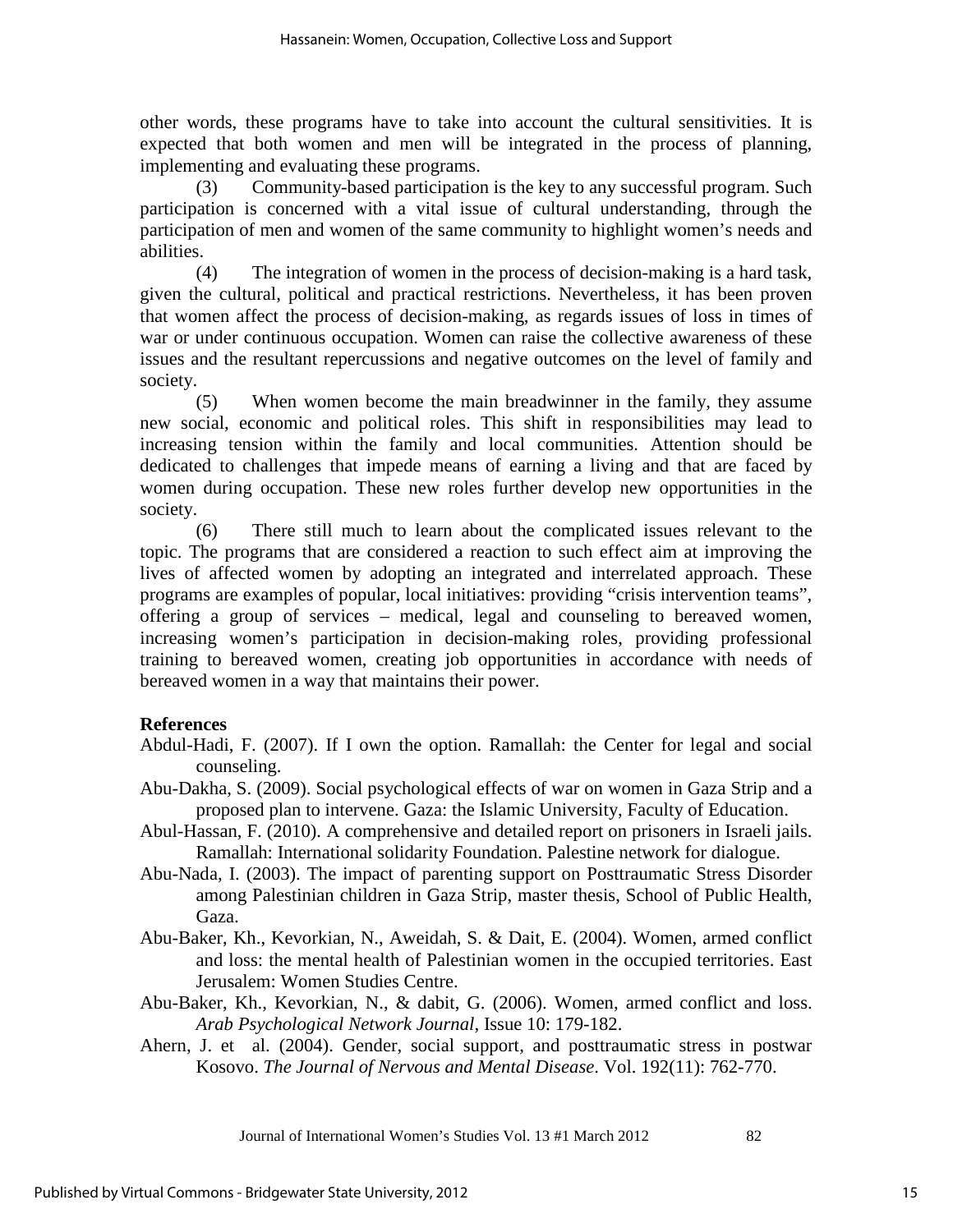other words, these programs have to take into account the cultural sensitivities. It is expected that both women and men will be integrated in the process of planning, implementing and evaluating these programs.

(3) Community-based participation is the key to any successful program. Such participation is concerned with a vital issue of cultural understanding, through the participation of men and women of the same community to highlight women's needs and abilities.

(4) The integration of women in the process of decision-making is a hard task, given the cultural, political and practical restrictions. Nevertheless, it has been proven that women affect the process of decision-making, as regards issues of loss in times of war or under continuous occupation. Women can raise the collective awareness of these issues and the resultant repercussions and negative outcomes on the level of family and society.

(5) When women become the main breadwinner in the family, they assume new social, economic and political roles. This shift in responsibilities may lead to increasing tension within the family and local communities. Attention should be dedicated to challenges that impede means of earning a living and that are faced by women during occupation. These new roles further develop new opportunities in the society.

(6) There still much to learn about the complicated issues relevant to the topic. The programs that are considered a reaction to such effect aim at improving the lives of affected women by adopting an integrated and interrelated approach. These programs are examples of popular, local initiatives: providing "crisis intervention teams", offering a group of services – medical, legal and counseling to bereaved women, increasing women's participation in decision-making roles, providing professional training to bereaved women, creating job opportunities in accordance with needs of bereaved women in a way that maintains their power.

# **References**

- Abdul-Hadi, F. (2007). If I own the option. Ramallah: the Center for legal and social counseling.
- Abu-Dakha, S. (2009). Social psychological effects of war on women in Gaza Strip and a proposed plan to intervene. Gaza: the Islamic University, Faculty of Education.
- Abul-Hassan, F. (2010). A comprehensive and detailed report on prisoners in Israeli jails. Ramallah: International solidarity Foundation. Palestine network for dialogue.
- Abu-Nada, I. (2003). The impact of parenting support on Posttraumatic Stress Disorder among Palestinian children in Gaza Strip, master thesis, School of Public Health, Gaza.
- Abu-Baker, Kh., Kevorkian, N., Aweidah, S. & Dait, E. (2004). Women, armed conflict and loss: the mental health of Palestinian women in the occupied territories. East Jerusalem: Women Studies Centre.
- Abu-Baker, Kh., Kevorkian, N., & dabit, G. (2006). Women, armed conflict and loss. *Arab Psychological Network Journal*, Issue 10: 179-182.
- Ahern, J. et al. (2004). Gender, social support, and posttraumatic stress in postwar Kosovo. *The Journal of Nervous and Mental Disease*. Vol. 192(11): 762-770.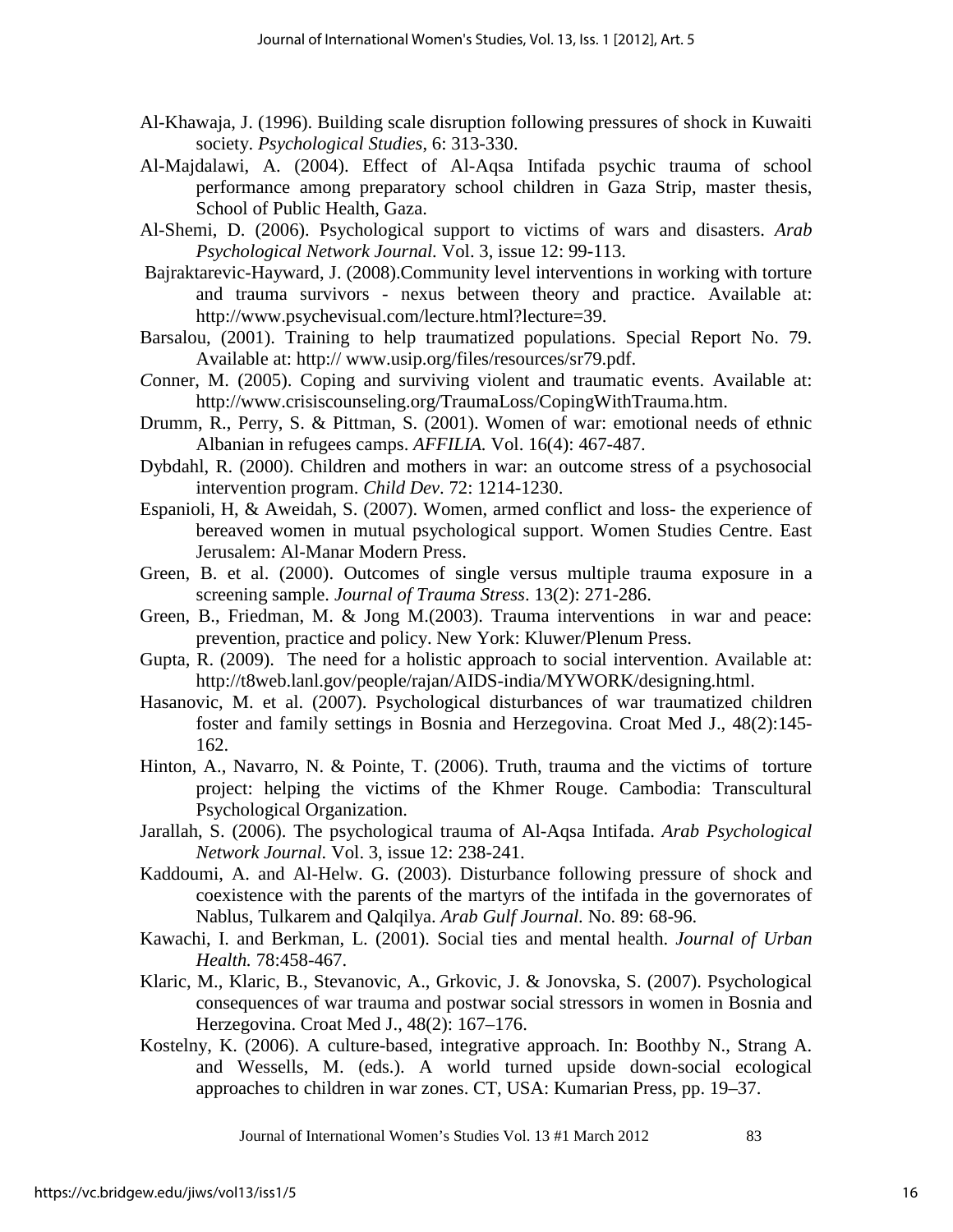- Al-Khawaja, J. (1996). Building scale disruption following pressures of shock in Kuwaiti society. *Psychological Studies*, 6: 313-330.
- Al-Majdalawi, A. (2004). Effect of Al-Aqsa Intifada psychic trauma of school performance among preparatory school children in Gaza Strip, master thesis, School of Public Health, Gaza.
- Al-Shemi, D. (2006). Psychological support to victims of wars and disasters. *Arab Psychological Network Journal.* Vol. 3, issue 12: 99-113.
- Bajraktarevic-Hayward, J. (2008).Community level interventions in working with torture and trauma survivors - nexus between theory and practice. Available at: [http://www.psychevisual.com/lecture.html?lecture=39.](http://www.psychevisual.com/lecture.html?lecture=39)
- Barsalou, (2001). Training to help traumatized populations. Special Report No. 79. Available at: http:// www.usip.org/files/resources/sr79.pdf.
- *C*onner, M. (2005). Coping and surviving violent and traumatic events. Available at: [http://www.crisiscounseling.org/TraumaLoss/CopingWithTrauma.htm.](http://www.crisiscounseling.org/TraumaLoss/CopingWithTrauma.htm)
- Drumm, R., Perry, S. & Pittman, S. (2001). Women of war: emotional needs of ethnic Albanian in refugees camps. *AFFILIA.* Vol. 16(4): 467-487.
- Dybdahl, R. (2000). Children and mothers in war: an outcome stress of a psychosocial intervention program. *Child Dev*. 72: 1214-1230.
- Espanioli, H, & Aweidah, S. (2007). Women, armed conflict and loss- the experience of bereaved women in mutual psychological support. Women Studies Centre. East Jerusalem: Al-Manar Modern Press.
- Green, B. et al. (2000). Outcomes of single versus multiple trauma exposure in a screening sample. *Journal of Trauma Stress*. 13(2): 271-286.
- Green, B., Friedman, M. & Jong M.(2003). Trauma interventions in war and peace: prevention, practice and policy. New York: Kluwer/Plenum Press.
- Gupta, R. (2009). The need for a holistic approach to social intervention. Available at: [http://t8web.lanl.gov/people/rajan/AIDS-india/MYWORK/designing.html.](http://t8web.lanl.gov/people/rajan/AIDS-india/MYWORK/designing.html)
- Hasanovic, M. et al. (2007). Psychological disturbances of war traumatized children foster and family settings in Bosnia and Herzegovina. Croat Med J., 48(2):145- 162.
- Hinton, A., Navarro, N. & Pointe, T. (2006). Truth, trauma and the victims of torture project: helping the victims of the Khmer Rouge. Cambodia: Transcultural Psychological Organization.
- Jarallah, S. (2006). The psychological trauma of Al-Aqsa Intifada. *Arab Psychological Network Journal.* Vol. 3, issue 12: 238-241.
- Kaddoumi, A. and Al-Helw. G. (2003). Disturbance following pressure of shock and coexistence with the parents of the martyrs of the intifada in the governorates of Nablus, Tulkarem and Qalqilya. *Arab Gulf Journal.* No. 89: 68-96.
- Kawachi, I. and Berkman, L. (2001). Social ties and mental health. *Journal of Urban Health.* 78:458-467.
- Klaric, M., Klaric, B., Stevanovic, A., Grkovic, J. & Jonovska, S. (2007). Psychological consequences of war trauma and postwar social stressors in women in Bosnia and Herzegovina. Croat Med J., 48(2): 167–176.
- Kostelny, K. (2006). A culture-based, integrative approach. In: Boothby N., Strang A. and Wessells, M. (eds.). A world turned upside down-social ecological approaches to children in war zones. CT, USA: Kumarian Press, pp. 19–37.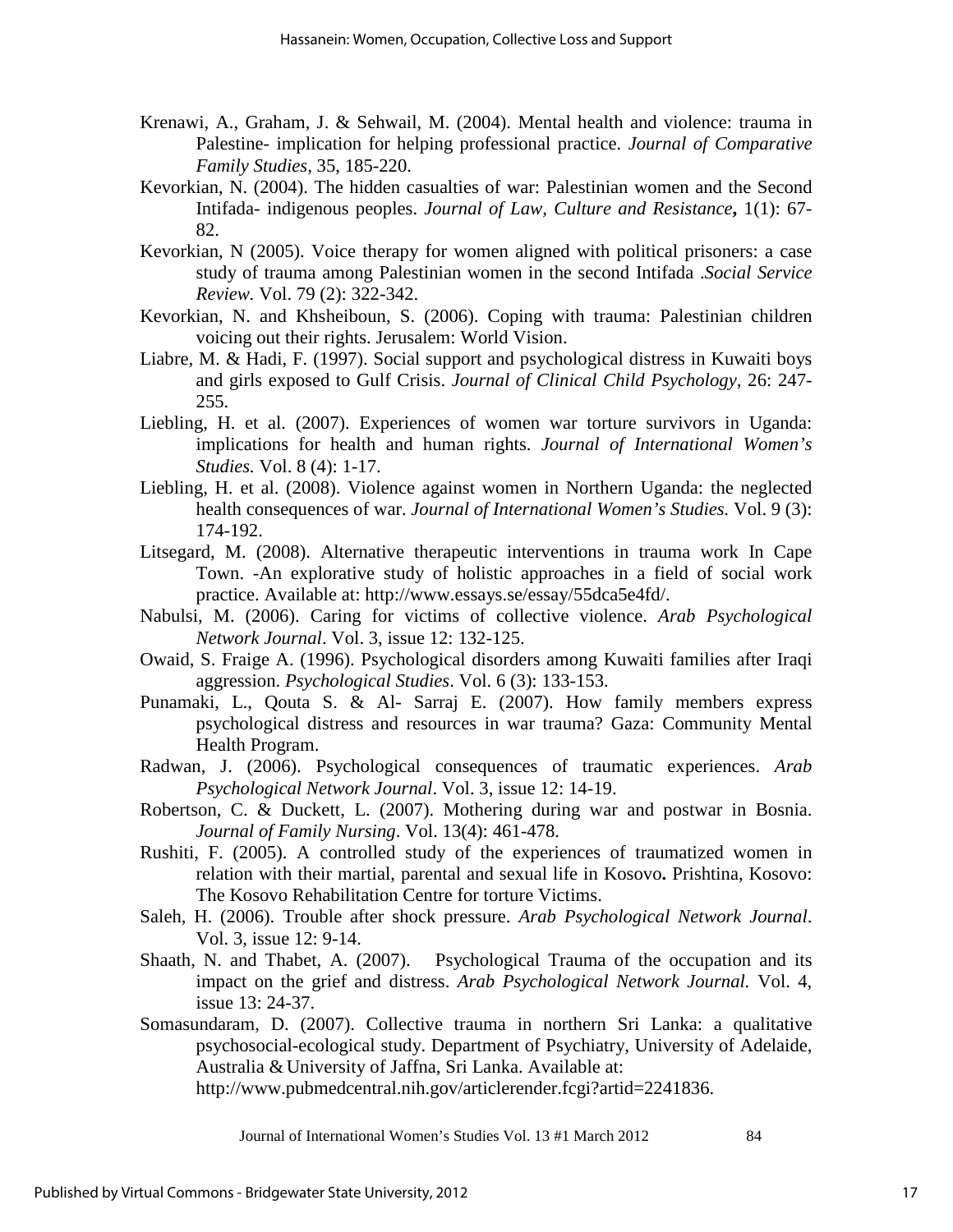- Krenawi, A., Graham, J. & Sehwail, M. (2004). Mental health and violence: trauma in Palestine- implication for helping professional practice. *Journal of Comparative Family Studies,* 35, 185-220.
- Kevorkian, N. (2004). The hidden casualties of war: Palestinian women and the Second Intifada- indigenous peoples. *Journal of Law, Culture and Resistance***,** 1(1): 67- 82.
- Kevorkian, N (2005). Voice therapy for women aligned with political prisoners: a case study of trauma among Palestinian women in the second Intifada .*Social Service Review.* Vol. 79 (2): 322-342.
- Kevorkian, N. and Khsheiboun, S. (2006). Coping with trauma: Palestinian children voicing out their rights. Jerusalem: World Vision.
- Liabre, M. & Hadi, F. (1997). Social support and psychological distress in Kuwaiti boys and girls exposed to Gulf Crisis. *Journal of Clinical Child Psychology,* 26: 247- 255.
- Liebling, H. et al. (2007). Experiences of women war torture survivors in Uganda: implications for health and human rights. *Journal of International Women's Studies.* Vol. 8 (4): 1-17.
- Liebling, H. et al. (2008). Violence against women in Northern Uganda: the neglected health consequences of war. *Journal of International Women's Studies.* Vol. 9 (3): 174-192.
- Litsegard, M. (2008). Alternative therapeutic interventions in trauma work In Cape Town. -An explorative study of holistic approaches in a field of social work practice. Available at: [http://www.essays.se/essay/55dca5e4fd/.](http://www.essays.se/essay/55dca5e4fd/)
- Nabulsi, M. (2006). Caring for victims of collective violence. *Arab Psychological Network Journal*. Vol. 3, issue 12: 132-125.
- Owaid, S. Fraige A. (1996). Psychological disorders among Kuwaiti families after Iraqi aggression. *Psychological Studies*. Vol. 6 (3): 133-153.
- Punamaki, L., Qouta S. & Al- Sarraj E. (2007). How family members express psychological distress and resources in war trauma? Gaza: Community Mental Health Program.
- Radwan, J. (2006). Psychological consequences of traumatic experiences. *Arab Psychological Network Journal*. Vol. 3, issue 12: 14-19.
- Robertson, C. & Duckett, L. (2007). Mothering during war and postwar in Bosnia. *Journal of Family Nursing*. Vol. 13(4): 461-478.
- Rushiti, F. (2005). A controlled study of the experiences of traumatized women in relation with their martial, parental and sexual life in Kosovo**.** Prishtina, Kosovo: The Kosovo Rehabilitation Centre for torture Victims.
- Saleh, H. (2006). Trouble after shock pressure. *Arab Psychological Network Journal*. Vol. 3, issue 12: 9-14.
- Shaath, N. and Thabet, A. (2007). Psychological Trauma of the occupation and its impact on the grief and distress. *Arab Psychological Network Journal.* Vol. 4, issue 13: 24-37.
- Somasundaram, D. (2007). Collective trauma in northern Sri Lanka: a qualitative psychosocial-ecological study. Department of Psychiatry, University of Adelaide, Australia & University of Jaffna, Sri Lanka. Available at:

[http://www.pubmedcentral.nih.gov/articlerender.fcgi?artid=2241836.](http://www.pubmedcentral.nih.gov/articlerender.fcgi?artid=2241836)